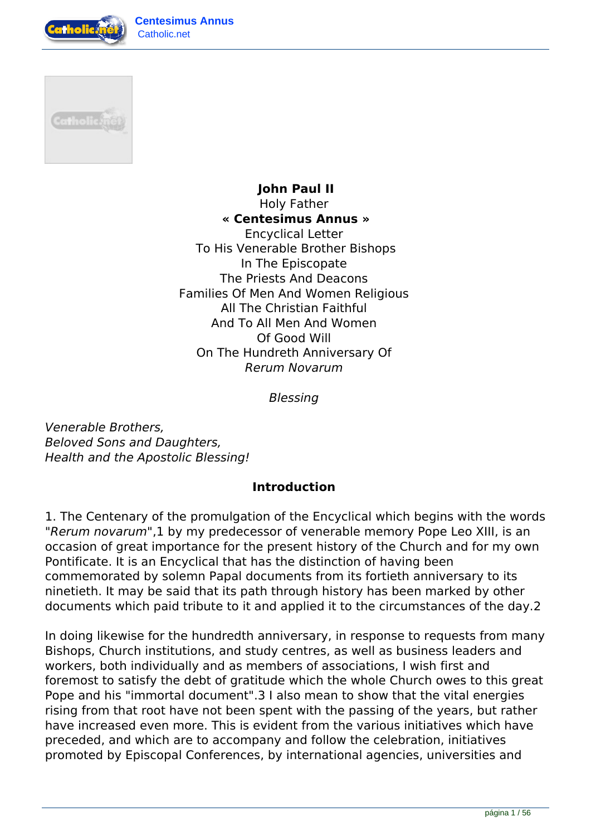



 **John Paul II** Holy Father **« Centesimus Annus »** Encyclical Letter To His Venerable Brother Bishops In The Episcopate The Priests And Deacons Families Of Men And Women Religious All The Christian Faithful And To All Men And Women Of Good Will On The Hundreth Anniversary Of *Rerum Novarum*

*Blessing*

*Venerable Brothers, Beloved Sons and Daughters, Health and the Apostolic Blessing!*

#### **Introduction**

1. The Centenary of the promulgation of the Encyclical which begins with the words *"Rerum novarum"*,1 by my predecessor of venerable memory Pope Leo XIII, is an occasion of great importance for the present history of the Church and for my own Pontificate. It is an Encyclical that has the distinction of having been commemorated by solemn Papal documents from its fortieth anniversary to its ninetieth. It may be said that its path through history has been marked by other documents which paid tribute to it and applied it to the circumstances of the day.2

In doing likewise for the hundredth anniversary, in response to requests from many Bishops, Church institutions, and study centres, as well as business leaders and workers, both individually and as members of associations, I wish first and foremost to satisfy the debt of gratitude which the whole Church owes to this great Pope and his "immortal document".3 I also mean to show that the vital energies rising from that root have not been spent with the passing of the years, but rather have increased even more. This is evident from the various initiatives which have preceded, and which are to accompany and follow the celebration, initiatives promoted by Episcopal Conferences, by international agencies, universities and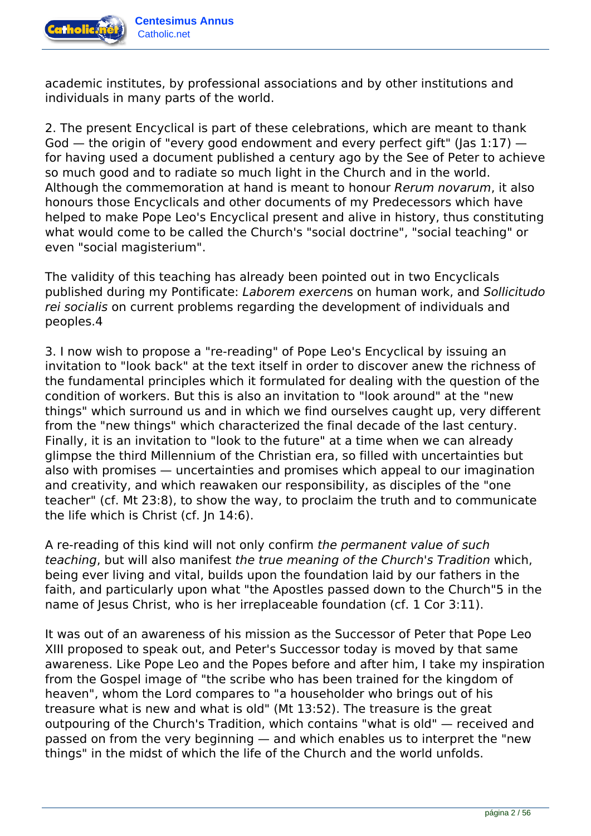

academic institutes, by professional associations and by other institutions and individuals in many parts of the world.

2. The present Encyclical is part of these celebrations, which are meant to thank God — the origin of "every good endowment and every perfect gift" (Jas 1:17) for having used a document published a century ago by the See of Peter to achieve so much good and to radiate so much light in the Church and in the world. Although the commemoration at hand is meant to honour *Rerum novarum*, it also honours those Encyclicals and other documents of my Predecessors which have helped to make Pope Leo's Encyclical present and alive in history, thus constituting what would come to be called the Church's "social doctrine", "social teaching" or even "social magisterium".

The validity of this teaching has already been pointed out in two Encyclicals published during my Pontificate: *Laborem exercen*s on human work, and *Sollicitudo rei socialis* on current problems regarding the development of individuals and peoples.4

3. I now wish to propose a "re-reading" of Pope Leo's Encyclical by issuing an invitation to "look back" at the text itself in order to discover anew the richness of the fundamental principles which it formulated for dealing with the question of the condition of workers. But this is also an invitation to "look around" at the "new things" which surround us and in which we find ourselves caught up, very different from the "new things" which characterized the final decade of the last century. Finally, it is an invitation to "look to the future" at a time when we can already glimpse the third Millennium of the Christian era, so filled with uncertainties but also with promises — uncertainties and promises which appeal to our imagination and creativity, and which reawaken our responsibility, as disciples of the "one teacher" (cf. Mt 23:8), to show the way, to proclaim the truth and to communicate the life which is Christ (cf. Jn 14:6).

A re-reading of this kind will not only confirm *the permanent value of such teaching*, but will also manifest *the true meaning of the Church's Tradition* which, being ever living and vital, builds upon the foundation laid by our fathers in the faith, and particularly upon what "the Apostles passed down to the Church"5 in the name of Jesus Christ, who is her irreplaceable foundation (cf. 1 Cor 3:11).

It was out of an awareness of his mission as the Successor of Peter that Pope Leo XIII proposed to speak out, and Peter's Successor today is moved by that same awareness. Like Pope Leo and the Popes before and after him, I take my inspiration from the Gospel image of "the scribe who has been trained for the kingdom of heaven", whom the Lord compares to "a householder who brings out of his treasure what is new and what is old" (Mt 13:52). The treasure is the great outpouring of the Church's Tradition, which contains "what is old" — received and passed on from the very beginning — and which enables us to interpret the "new things" in the midst of which the life of the Church and the world unfolds.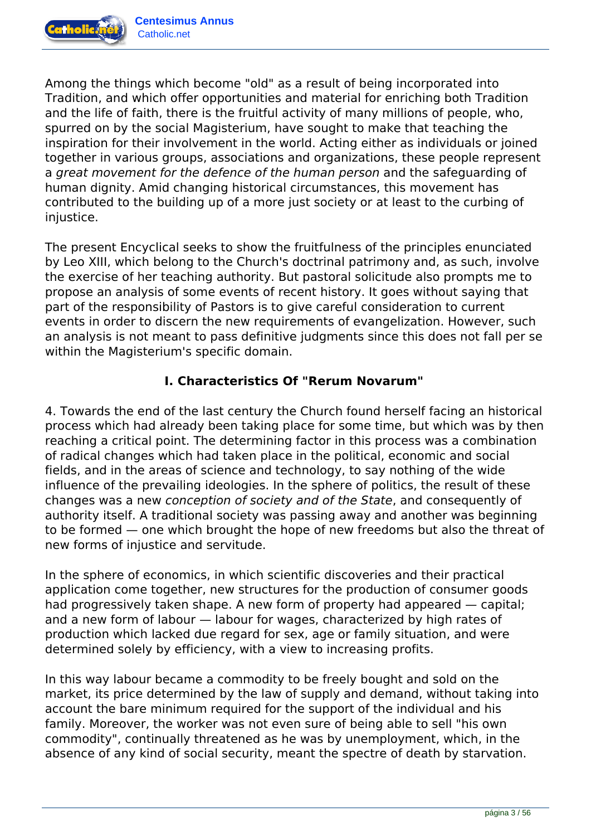

Among the things which become "old" as a result of being incorporated into Tradition, and which offer opportunities and material for enriching both Tradition and the life of faith, there is the fruitful activity of many millions of people, who, spurred on by the social Magisterium, have sought to make that teaching the inspiration for their involvement in the world. Acting either as individuals or joined together in various groups, associations and organizations, these people represent a *great movement for the defence of the human person* and the safeguarding of human dignity. Amid changing historical circumstances, this movement has contributed to the building up of a more just society or at least to the curbing of injustice.

The present Encyclical seeks to show the fruitfulness of the principles enunciated by Leo XIII, which belong to the Church's doctrinal patrimony and, as such, involve the exercise of her teaching authority. But pastoral solicitude also prompts me to propose an analysis of some events of recent history. It goes without saying that part of the responsibility of Pastors is to give careful consideration to current events in order to discern the new requirements of evangelization. However, such an analysis is not meant to pass definitive judgments since this does not fall per se within the Magisterium's specific domain.

# **I. Characteristics Of "Rerum Novarum"**

4. Towards the end of the last century the Church found herself facing an historical process which had already been taking place for some time, but which was by then reaching a critical point. The determining factor in this process was a combination of radical changes which had taken place in the political, economic and social fields, and in the areas of science and technology, to say nothing of the wide influence of the prevailing ideologies. In the sphere of politics, the result of these changes was a new *conception of society and of the State*, and consequently of authority itself. A traditional society was passing away and another was beginning to be formed — one which brought the hope of new freedoms but also the threat of new forms of injustice and servitude.

In the sphere of economics, in which scientific discoveries and their practical application come together, new structures for the production of consumer goods had progressively taken shape. A new form of property had appeared — capital; and a new form of labour — labour for wages, characterized by high rates of production which lacked due regard for sex, age or family situation, and were determined solely by efficiency, with a view to increasing profits.

In this way labour became a commodity to be freely bought and sold on the market, its price determined by the law of supply and demand, without taking into account the bare minimum required for the support of the individual and his family. Moreover, the worker was not even sure of being able to sell "his own commodity", continually threatened as he was by unemployment, which, in the absence of any kind of social security, meant the spectre of death by starvation.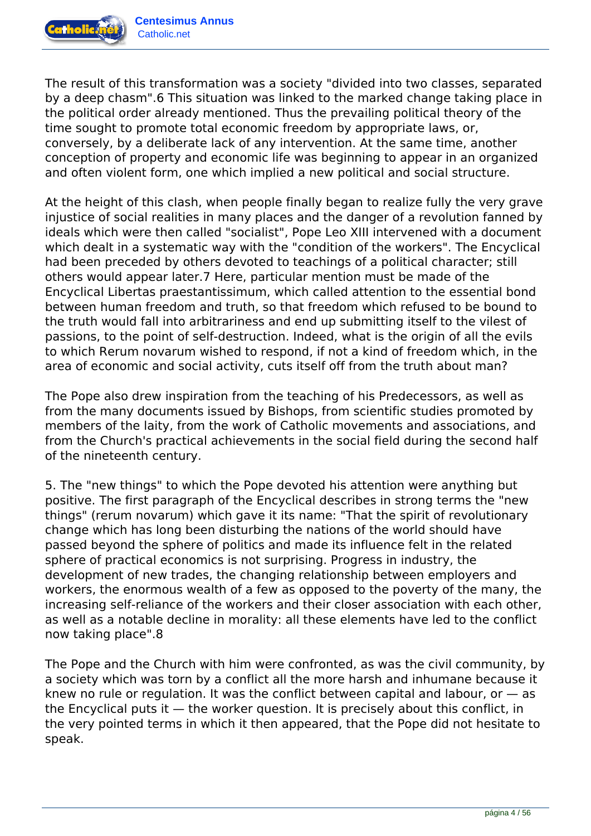

The result of this transformation was a society "divided into two classes, separated by a deep chasm".6 This situation was linked to the marked change taking place in the political order already mentioned. Thus the prevailing political theory of the time sought to promote total economic freedom by appropriate laws, or, conversely, by a deliberate lack of any intervention. At the same time, another conception of property and economic life was beginning to appear in an organized and often violent form, one which implied a new political and social structure.

At the height of this clash, when people finally began to realize fully the very grave injustice of social realities in many places and the danger of a revolution fanned by ideals which were then called "socialist", Pope Leo XIII intervened with a document which dealt in a systematic way with the "condition of the workers". The Encyclical had been preceded by others devoted to teachings of a political character; still others would appear later.7 Here, particular mention must be made of the Encyclical Libertas praestantissimum, which called attention to the essential bond between human freedom and truth, so that freedom which refused to be bound to the truth would fall into arbitrariness and end up submitting itself to the vilest of passions, to the point of self-destruction. Indeed, what is the origin of all the evils to which Rerum novarum wished to respond, if not a kind of freedom which, in the area of economic and social activity, cuts itself off from the truth about man?

The Pope also drew inspiration from the teaching of his Predecessors, as well as from the many documents issued by Bishops, from scientific studies promoted by members of the laity, from the work of Catholic movements and associations, and from the Church's practical achievements in the social field during the second half of the nineteenth century.

5. The "new things" to which the Pope devoted his attention were anything but positive. The first paragraph of the Encyclical describes in strong terms the "new things" (rerum novarum) which gave it its name: "That the spirit of revolutionary change which has long been disturbing the nations of the world should have passed beyond the sphere of politics and made its influence felt in the related sphere of practical economics is not surprising. Progress in industry, the development of new trades, the changing relationship between employers and workers, the enormous wealth of a few as opposed to the poverty of the many, the increasing self-reliance of the workers and their closer association with each other, as well as a notable decline in morality: all these elements have led to the conflict now taking place".8

The Pope and the Church with him were confronted, as was the civil community, by a society which was torn by a conflict all the more harsh and inhumane because it knew no rule or regulation. It was the conflict between capital and labour, or — as the Encyclical puts it — the worker question. It is precisely about this conflict, in the very pointed terms in which it then appeared, that the Pope did not hesitate to speak.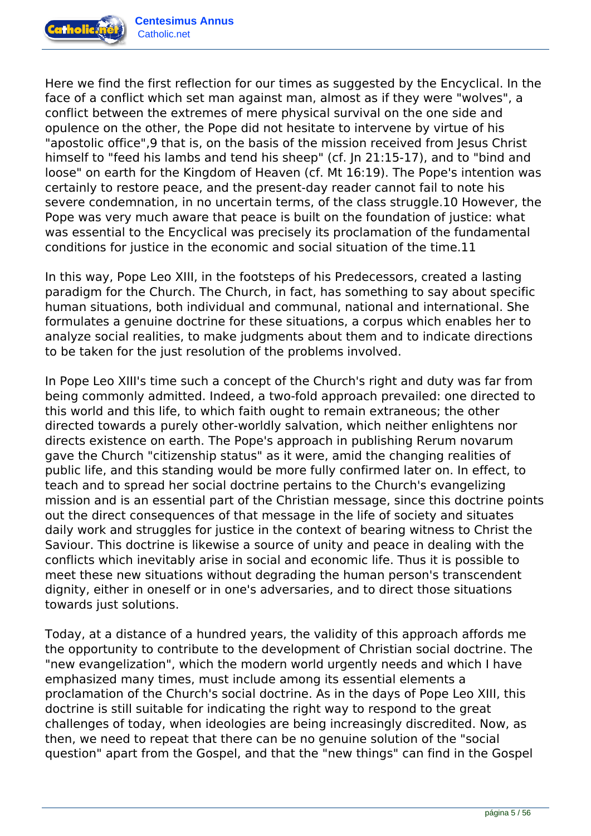

Here we find the first reflection for our times as suggested by the Encyclical. In the face of a conflict which set man against man, almost as if they were "wolves", a conflict between the extremes of mere physical survival on the one side and opulence on the other, the Pope did not hesitate to intervene by virtue of his "apostolic office",9 that is, on the basis of the mission received from Jesus Christ himself to "feed his lambs and tend his sheep" (cf. Jn 21:15-17), and to "bind and loose" on earth for the Kingdom of Heaven (cf. Mt 16:19). The Pope's intention was certainly to restore peace, and the present-day reader cannot fail to note his severe condemnation, in no uncertain terms, of the class struggle.10 However, the Pope was very much aware that peace is built on the foundation of justice: what was essential to the Encyclical was precisely its proclamation of the fundamental conditions for justice in the economic and social situation of the time.11

In this way, Pope Leo XIII, in the footsteps of his Predecessors, created a lasting paradigm for the Church. The Church, in fact, has something to say about specific human situations, both individual and communal, national and international. She formulates a genuine doctrine for these situations, a corpus which enables her to analyze social realities, to make judgments about them and to indicate directions to be taken for the just resolution of the problems involved.

In Pope Leo XIII's time such a concept of the Church's right and duty was far from being commonly admitted. Indeed, a two-fold approach prevailed: one directed to this world and this life, to which faith ought to remain extraneous; the other directed towards a purely other-worldly salvation, which neither enlightens nor directs existence on earth. The Pope's approach in publishing Rerum novarum gave the Church "citizenship status" as it were, amid the changing realities of public life, and this standing would be more fully confirmed later on. In effect, to teach and to spread her social doctrine pertains to the Church's evangelizing mission and is an essential part of the Christian message, since this doctrine points out the direct consequences of that message in the life of society and situates daily work and struggles for justice in the context of bearing witness to Christ the Saviour. This doctrine is likewise a source of unity and peace in dealing with the conflicts which inevitably arise in social and economic life. Thus it is possible to meet these new situations without degrading the human person's transcendent dignity, either in oneself or in one's adversaries, and to direct those situations towards just solutions.

Today, at a distance of a hundred years, the validity of this approach affords me the opportunity to contribute to the development of Christian social doctrine. The "new evangelization", which the modern world urgently needs and which I have emphasized many times, must include among its essential elements a proclamation of the Church's social doctrine. As in the days of Pope Leo XIII, this doctrine is still suitable for indicating the right way to respond to the great challenges of today, when ideologies are being increasingly discredited. Now, as then, we need to repeat that there can be no genuine solution of the "social question" apart from the Gospel, and that the "new things" can find in the Gospel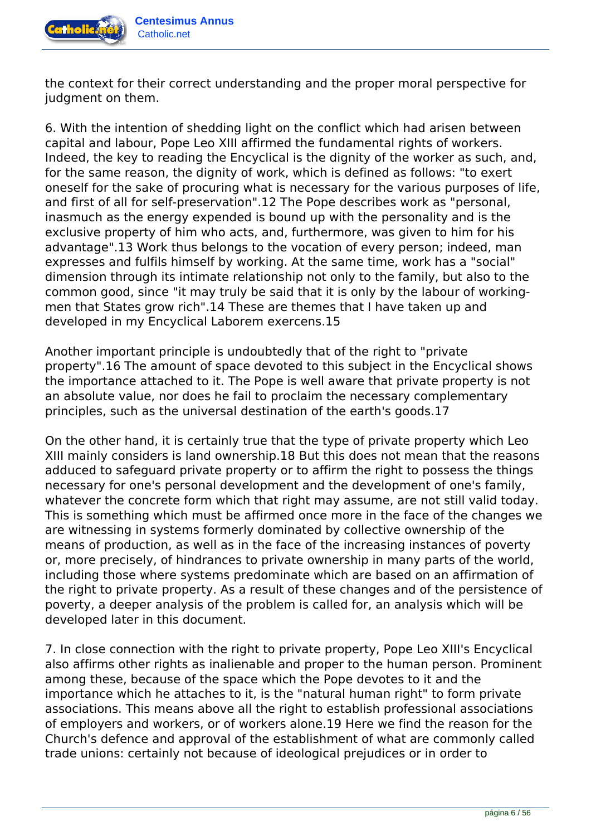

the context for their correct understanding and the proper moral perspective for judgment on them.

6. With the intention of shedding light on the conflict which had arisen between capital and labour, Pope Leo XIII affirmed the fundamental rights of workers. Indeed, the key to reading the Encyclical is the dignity of the worker as such, and, for the same reason, the dignity of work, which is defined as follows: "to exert oneself for the sake of procuring what is necessary for the various purposes of life, and first of all for self-preservation".12 The Pope describes work as "personal, inasmuch as the energy expended is bound up with the personality and is the exclusive property of him who acts, and, furthermore, was given to him for his advantage".13 Work thus belongs to the vocation of every person; indeed, man expresses and fulfils himself by working. At the same time, work has a "social" dimension through its intimate relationship not only to the family, but also to the common good, since "it may truly be said that it is only by the labour of workingmen that States grow rich".14 These are themes that I have taken up and developed in my Encyclical Laborem exercens.15

Another important principle is undoubtedly that of the right to "private property".16 The amount of space devoted to this subject in the Encyclical shows the importance attached to it. The Pope is well aware that private property is not an absolute value, nor does he fail to proclaim the necessary complementary principles, such as the universal destination of the earth's goods.17

On the other hand, it is certainly true that the type of private property which Leo XIII mainly considers is land ownership.18 But this does not mean that the reasons adduced to safeguard private property or to affirm the right to possess the things necessary for one's personal development and the development of one's family, whatever the concrete form which that right may assume, are not still valid today. This is something which must be affirmed once more in the face of the changes we are witnessing in systems formerly dominated by collective ownership of the means of production, as well as in the face of the increasing instances of poverty or, more precisely, of hindrances to private ownership in many parts of the world, including those where systems predominate which are based on an affirmation of the right to private property. As a result of these changes and of the persistence of poverty, a deeper analysis of the problem is called for, an analysis which will be developed later in this document.

7. In close connection with the right to private property, Pope Leo XIII's Encyclical also affirms other rights as inalienable and proper to the human person. Prominent among these, because of the space which the Pope devotes to it and the importance which he attaches to it, is the "natural human right" to form private associations. This means above all the right to establish professional associations of employers and workers, or of workers alone.19 Here we find the reason for the Church's defence and approval of the establishment of what are commonly called trade unions: certainly not because of ideological prejudices or in order to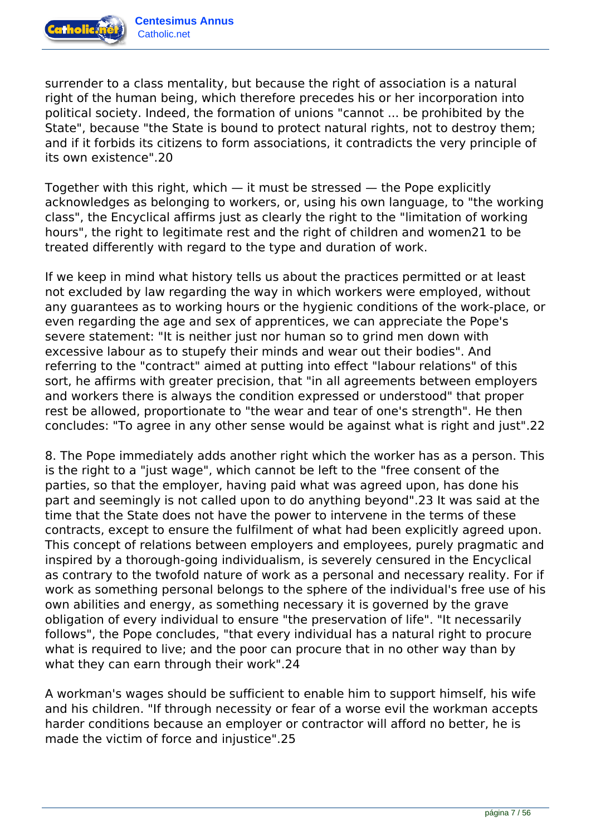

surrender to a class mentality, but because the right of association is a natural right of the human being, which therefore precedes his or her incorporation into political society. Indeed, the formation of unions "cannot ... be prohibited by the State", because "the State is bound to protect natural rights, not to destroy them; and if it forbids its citizens to form associations, it contradicts the very principle of its own existence".20

Together with this right, which — it must be stressed — the Pope explicitly acknowledges as belonging to workers, or, using his own language, to "the working class", the Encyclical affirms just as clearly the right to the "limitation of working hours", the right to legitimate rest and the right of children and women21 to be treated differently with regard to the type and duration of work.

If we keep in mind what history tells us about the practices permitted or at least not excluded by law regarding the way in which workers were employed, without any guarantees as to working hours or the hygienic conditions of the work-place, or even regarding the age and sex of apprentices, we can appreciate the Pope's severe statement: "It is neither just nor human so to grind men down with excessive labour as to stupefy their minds and wear out their bodies". And referring to the "contract" aimed at putting into effect "labour relations" of this sort, he affirms with greater precision, that "in all agreements between employers and workers there is always the condition expressed or understood" that proper rest be allowed, proportionate to "the wear and tear of one's strength". He then concludes: "To agree in any other sense would be against what is right and just".22

8. The Pope immediately adds another right which the worker has as a person. This is the right to a "just wage", which cannot be left to the "free consent of the parties, so that the employer, having paid what was agreed upon, has done his part and seemingly is not called upon to do anything beyond".23 It was said at the time that the State does not have the power to intervene in the terms of these contracts, except to ensure the fulfilment of what had been explicitly agreed upon. This concept of relations between employers and employees, purely pragmatic and inspired by a thorough-going individualism, is severely censured in the Encyclical as contrary to the twofold nature of work as a personal and necessary reality. For if work as something personal belongs to the sphere of the individual's free use of his own abilities and energy, as something necessary it is governed by the grave obligation of every individual to ensure "the preservation of life". "It necessarily follows", the Pope concludes, "that every individual has a natural right to procure what is required to live; and the poor can procure that in no other way than by what they can earn through their work".24

A workman's wages should be sufficient to enable him to support himself, his wife and his children. "If through necessity or fear of a worse evil the workman accepts harder conditions because an employer or contractor will afford no better, he is made the victim of force and injustice".25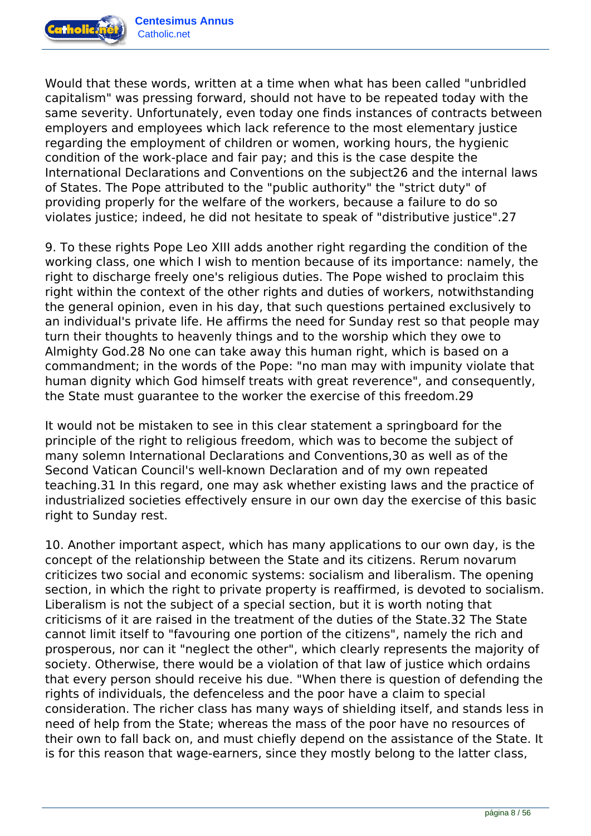

Would that these words, written at a time when what has been called "unbridled capitalism" was pressing forward, should not have to be repeated today with the same severity. Unfortunately, even today one finds instances of contracts between employers and employees which lack reference to the most elementary justice regarding the employment of children or women, working hours, the hygienic condition of the work-place and fair pay; and this is the case despite the International Declarations and Conventions on the subject26 and the internal laws of States. The Pope attributed to the "public authority" the "strict duty" of providing properly for the welfare of the workers, because a failure to do so violates justice; indeed, he did not hesitate to speak of "distributive justice".27

9. To these rights Pope Leo XIII adds another right regarding the condition of the working class, one which I wish to mention because of its importance: namely, the right to discharge freely one's religious duties. The Pope wished to proclaim this right within the context of the other rights and duties of workers, notwithstanding the general opinion, even in his day, that such questions pertained exclusively to an individual's private life. He affirms the need for Sunday rest so that people may turn their thoughts to heavenly things and to the worship which they owe to Almighty God.28 No one can take away this human right, which is based on a commandment; in the words of the Pope: "no man may with impunity violate that human dignity which God himself treats with great reverence", and consequently, the State must guarantee to the worker the exercise of this freedom.29

It would not be mistaken to see in this clear statement a springboard for the principle of the right to religious freedom, which was to become the subject of many solemn International Declarations and Conventions,30 as well as of the Second Vatican Council's well-known Declaration and of my own repeated teaching.31 In this regard, one may ask whether existing laws and the practice of industrialized societies effectively ensure in our own day the exercise of this basic right to Sunday rest.

10. Another important aspect, which has many applications to our own day, is the concept of the relationship between the State and its citizens. Rerum novarum criticizes two social and economic systems: socialism and liberalism. The opening section, in which the right to private property is reaffirmed, is devoted to socialism. Liberalism is not the subject of a special section, but it is worth noting that criticisms of it are raised in the treatment of the duties of the State.32 The State cannot limit itself to "favouring one portion of the citizens", namely the rich and prosperous, nor can it "neglect the other", which clearly represents the majority of society. Otherwise, there would be a violation of that law of justice which ordains that every person should receive his due. "When there is question of defending the rights of individuals, the defenceless and the poor have a claim to special consideration. The richer class has many ways of shielding itself, and stands less in need of help from the State; whereas the mass of the poor have no resources of their own to fall back on, and must chiefly depend on the assistance of the State. It is for this reason that wage-earners, since they mostly belong to the latter class,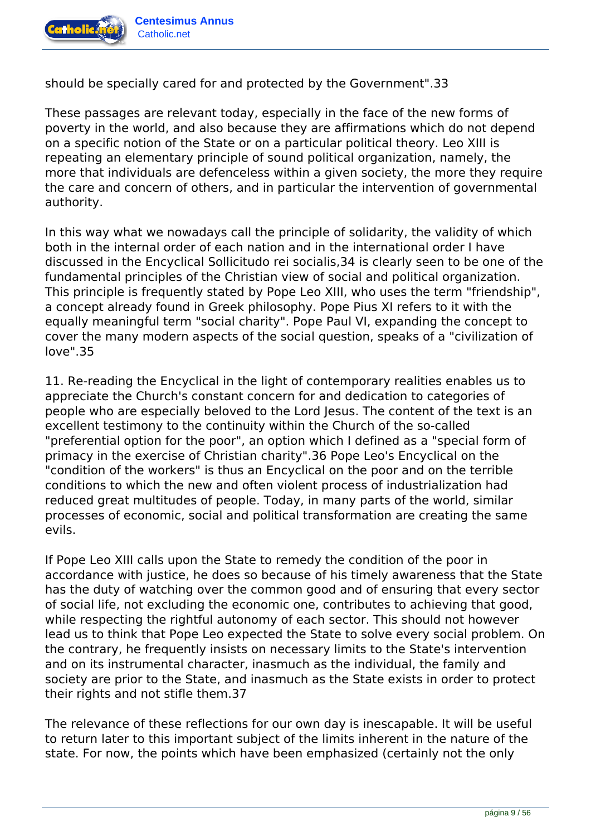

should be specially cared for and protected by the Government".33

These passages are relevant today, especially in the face of the new forms of poverty in the world, and also because they are affirmations which do not depend on a specific notion of the State or on a particular political theory. Leo XIII is repeating an elementary principle of sound political organization, namely, the more that individuals are defenceless within a given society, the more they require the care and concern of others, and in particular the intervention of governmental authority.

In this way what we nowadays call the principle of solidarity, the validity of which both in the internal order of each nation and in the international order I have discussed in the Encyclical Sollicitudo rei socialis,34 is clearly seen to be one of the fundamental principles of the Christian view of social and political organization. This principle is frequently stated by Pope Leo XIII, who uses the term "friendship", a concept already found in Greek philosophy. Pope Pius XI refers to it with the equally meaningful term "social charity". Pope Paul VI, expanding the concept to cover the many modern aspects of the social question, speaks of a "civilization of love".35

11. Re-reading the Encyclical in the light of contemporary realities enables us to appreciate the Church's constant concern for and dedication to categories of people who are especially beloved to the Lord Jesus. The content of the text is an excellent testimony to the continuity within the Church of the so-called "preferential option for the poor", an option which I defined as a "special form of primacy in the exercise of Christian charity".36 Pope Leo's Encyclical on the "condition of the workers" is thus an Encyclical on the poor and on the terrible conditions to which the new and often violent process of industrialization had reduced great multitudes of people. Today, in many parts of the world, similar processes of economic, social and political transformation are creating the same evils.

If Pope Leo XIII calls upon the State to remedy the condition of the poor in accordance with justice, he does so because of his timely awareness that the State has the duty of watching over the common good and of ensuring that every sector of social life, not excluding the economic one, contributes to achieving that good, while respecting the rightful autonomy of each sector. This should not however lead us to think that Pope Leo expected the State to solve every social problem. On the contrary, he frequently insists on necessary limits to the State's intervention and on its instrumental character, inasmuch as the individual, the family and society are prior to the State, and inasmuch as the State exists in order to protect their rights and not stifle them.37

The relevance of these reflections for our own day is inescapable. It will be useful to return later to this important subject of the limits inherent in the nature of the state. For now, the points which have been emphasized (certainly not the only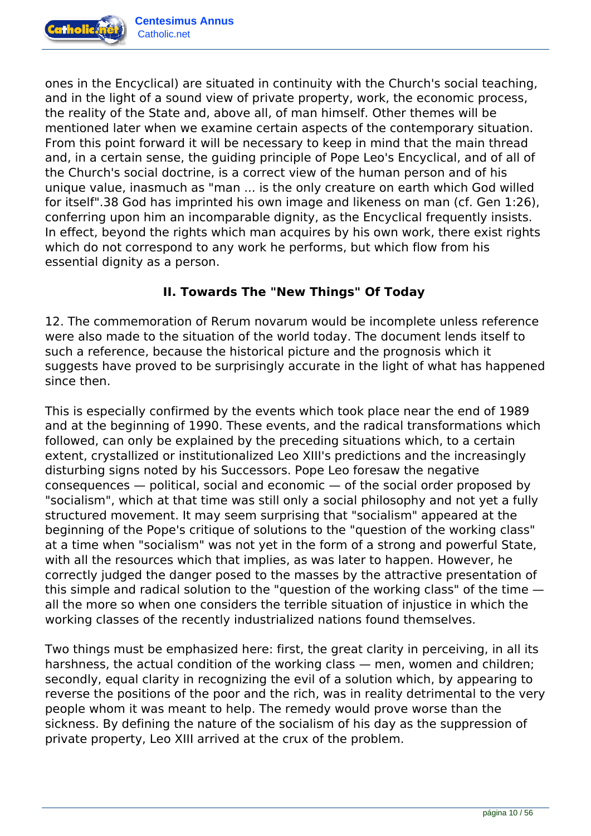

ones in the Encyclical) are situated in continuity with the Church's social teaching, and in the light of a sound view of private property, work, the economic process, the reality of the State and, above all, of man himself. Other themes will be mentioned later when we examine certain aspects of the contemporary situation. From this point forward it will be necessary to keep in mind that the main thread and, in a certain sense, the guiding principle of Pope Leo's Encyclical, and of all of the Church's social doctrine, is a correct view of the human person and of his unique value, inasmuch as "man ... is the only creature on earth which God willed for itself".38 God has imprinted his own image and likeness on man (cf. Gen 1:26), conferring upon him an incomparable dignity, as the Encyclical frequently insists. In effect, beyond the rights which man acquires by his own work, there exist rights which do not correspond to any work he performs, but which flow from his essential dignity as a person.

### **II. Towards The "New Things" Of Today**

12. The commemoration of Rerum novarum would be incomplete unless reference were also made to the situation of the world today. The document lends itself to such a reference, because the historical picture and the prognosis which it suggests have proved to be surprisingly accurate in the light of what has happened since then.

This is especially confirmed by the events which took place near the end of 1989 and at the beginning of 1990. These events, and the radical transformations which followed, can only be explained by the preceding situations which, to a certain extent, crystallized or institutionalized Leo XIII's predictions and the increasingly disturbing signs noted by his Successors. Pope Leo foresaw the negative consequences — political, social and economic — of the social order proposed by "socialism", which at that time was still only a social philosophy and not yet a fully structured movement. It may seem surprising that "socialism" appeared at the beginning of the Pope's critique of solutions to the "question of the working class" at a time when "socialism" was not yet in the form of a strong and powerful State, with all the resources which that implies, as was later to happen. However, he correctly judged the danger posed to the masses by the attractive presentation of this simple and radical solution to the "question of the working class" of the time all the more so when one considers the terrible situation of injustice in which the working classes of the recently industrialized nations found themselves.

Two things must be emphasized here: first, the great clarity in perceiving, in all its harshness, the actual condition of the working class — men, women and children; secondly, equal clarity in recognizing the evil of a solution which, by appearing to reverse the positions of the poor and the rich, was in reality detrimental to the very people whom it was meant to help. The remedy would prove worse than the sickness. By defining the nature of the socialism of his day as the suppression of private property, Leo XIII arrived at the crux of the problem.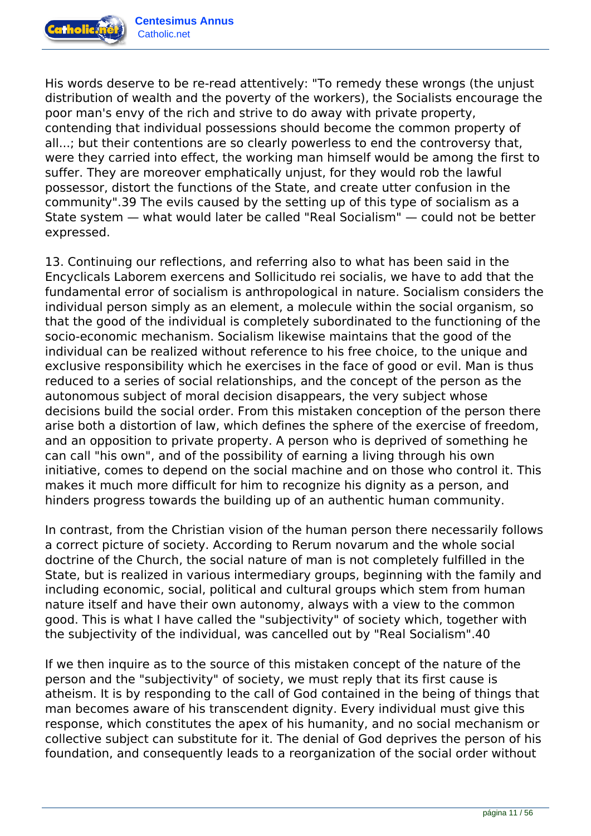

His words deserve to be re-read attentively: "To remedy these wrongs (the unjust distribution of wealth and the poverty of the workers), the Socialists encourage the poor man's envy of the rich and strive to do away with private property, contending that individual possessions should become the common property of all...; but their contentions are so clearly powerless to end the controversy that, were they carried into effect, the working man himself would be among the first to suffer. They are moreover emphatically unjust, for they would rob the lawful possessor, distort the functions of the State, and create utter confusion in the community".39 The evils caused by the setting up of this type of socialism as a State system — what would later be called "Real Socialism" — could not be better expressed.

13. Continuing our reflections, and referring also to what has been said in the Encyclicals Laborem exercens and Sollicitudo rei socialis, we have to add that the fundamental error of socialism is anthropological in nature. Socialism considers the individual person simply as an element, a molecule within the social organism, so that the good of the individual is completely subordinated to the functioning of the socio-economic mechanism. Socialism likewise maintains that the good of the individual can be realized without reference to his free choice, to the unique and exclusive responsibility which he exercises in the face of good or evil. Man is thus reduced to a series of social relationships, and the concept of the person as the autonomous subject of moral decision disappears, the very subject whose decisions build the social order. From this mistaken conception of the person there arise both a distortion of law, which defines the sphere of the exercise of freedom, and an opposition to private property. A person who is deprived of something he can call "his own", and of the possibility of earning a living through his own initiative, comes to depend on the social machine and on those who control it. This makes it much more difficult for him to recognize his dignity as a person, and hinders progress towards the building up of an authentic human community.

In contrast, from the Christian vision of the human person there necessarily follows a correct picture of society. According to Rerum novarum and the whole social doctrine of the Church, the social nature of man is not completely fulfilled in the State, but is realized in various intermediary groups, beginning with the family and including economic, social, political and cultural groups which stem from human nature itself and have their own autonomy, always with a view to the common good. This is what I have called the "subjectivity" of society which, together with the subjectivity of the individual, was cancelled out by "Real Socialism".40

If we then inquire as to the source of this mistaken concept of the nature of the person and the "subjectivity" of society, we must reply that its first cause is atheism. It is by responding to the call of God contained in the being of things that man becomes aware of his transcendent dignity. Every individual must give this response, which constitutes the apex of his humanity, and no social mechanism or collective subject can substitute for it. The denial of God deprives the person of his foundation, and consequently leads to a reorganization of the social order without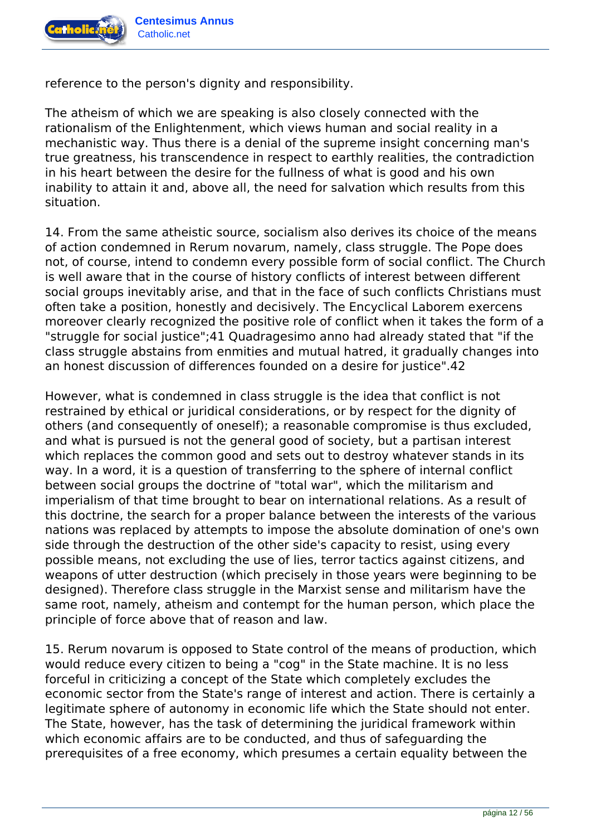

reference to the person's dignity and responsibility.

The atheism of which we are speaking is also closely connected with the rationalism of the Enlightenment, which views human and social reality in a mechanistic way. Thus there is a denial of the supreme insight concerning man's true greatness, his transcendence in respect to earthly realities, the contradiction in his heart between the desire for the fullness of what is good and his own inability to attain it and, above all, the need for salvation which results from this situation.

14. From the same atheistic source, socialism also derives its choice of the means of action condemned in Rerum novarum, namely, class struggle. The Pope does not, of course, intend to condemn every possible form of social conflict. The Church is well aware that in the course of history conflicts of interest between different social groups inevitably arise, and that in the face of such conflicts Christians must often take a position, honestly and decisively. The Encyclical Laborem exercens moreover clearly recognized the positive role of conflict when it takes the form of a "struggle for social justice";41 Quadragesimo anno had already stated that "if the class struggle abstains from enmities and mutual hatred, it gradually changes into an honest discussion of differences founded on a desire for justice".42

However, what is condemned in class struggle is the idea that conflict is not restrained by ethical or juridical considerations, or by respect for the dignity of others (and consequently of oneself); a reasonable compromise is thus excluded, and what is pursued is not the general good of society, but a partisan interest which replaces the common good and sets out to destroy whatever stands in its way. In a word, it is a question of transferring to the sphere of internal conflict between social groups the doctrine of "total war", which the militarism and imperialism of that time brought to bear on international relations. As a result of this doctrine, the search for a proper balance between the interests of the various nations was replaced by attempts to impose the absolute domination of one's own side through the destruction of the other side's capacity to resist, using every possible means, not excluding the use of lies, terror tactics against citizens, and weapons of utter destruction (which precisely in those years were beginning to be designed). Therefore class struggle in the Marxist sense and militarism have the same root, namely, atheism and contempt for the human person, which place the principle of force above that of reason and law.

15. Rerum novarum is opposed to State control of the means of production, which would reduce every citizen to being a "cog" in the State machine. It is no less forceful in criticizing a concept of the State which completely excludes the economic sector from the State's range of interest and action. There is certainly a legitimate sphere of autonomy in economic life which the State should not enter. The State, however, has the task of determining the juridical framework within which economic affairs are to be conducted, and thus of safeguarding the prerequisites of a free economy, which presumes a certain equality between the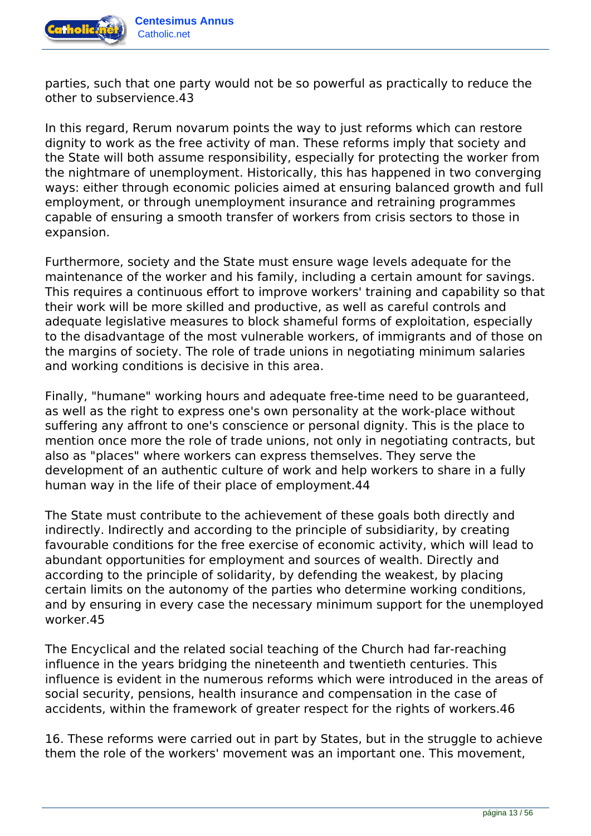

parties, such that one party would not be so powerful as practically to reduce the other to subservience.43

In this regard, Rerum novarum points the way to just reforms which can restore dignity to work as the free activity of man. These reforms imply that society and the State will both assume responsibility, especially for protecting the worker from the nightmare of unemployment. Historically, this has happened in two converging ways: either through economic policies aimed at ensuring balanced growth and full employment, or through unemployment insurance and retraining programmes capable of ensuring a smooth transfer of workers from crisis sectors to those in expansion.

Furthermore, society and the State must ensure wage levels adequate for the maintenance of the worker and his family, including a certain amount for savings. This requires a continuous effort to improve workers' training and capability so that their work will be more skilled and productive, as well as careful controls and adequate legislative measures to block shameful forms of exploitation, especially to the disadvantage of the most vulnerable workers, of immigrants and of those on the margins of society. The role of trade unions in negotiating minimum salaries and working conditions is decisive in this area.

Finally, "humane" working hours and adequate free-time need to be guaranteed, as well as the right to express one's own personality at the work-place without suffering any affront to one's conscience or personal dignity. This is the place to mention once more the role of trade unions, not only in negotiating contracts, but also as "places" where workers can express themselves. They serve the development of an authentic culture of work and help workers to share in a fully human way in the life of their place of employment.44

The State must contribute to the achievement of these goals both directly and indirectly. Indirectly and according to the principle of subsidiarity, by creating favourable conditions for the free exercise of economic activity, which will lead to abundant opportunities for employment and sources of wealth. Directly and according to the principle of solidarity, by defending the weakest, by placing certain limits on the autonomy of the parties who determine working conditions, and by ensuring in every case the necessary minimum support for the unemployed worker.45

The Encyclical and the related social teaching of the Church had far-reaching influence in the years bridging the nineteenth and twentieth centuries. This influence is evident in the numerous reforms which were introduced in the areas of social security, pensions, health insurance and compensation in the case of accidents, within the framework of greater respect for the rights of workers.46

16. These reforms were carried out in part by States, but in the struggle to achieve them the role of the workers' movement was an important one. This movement,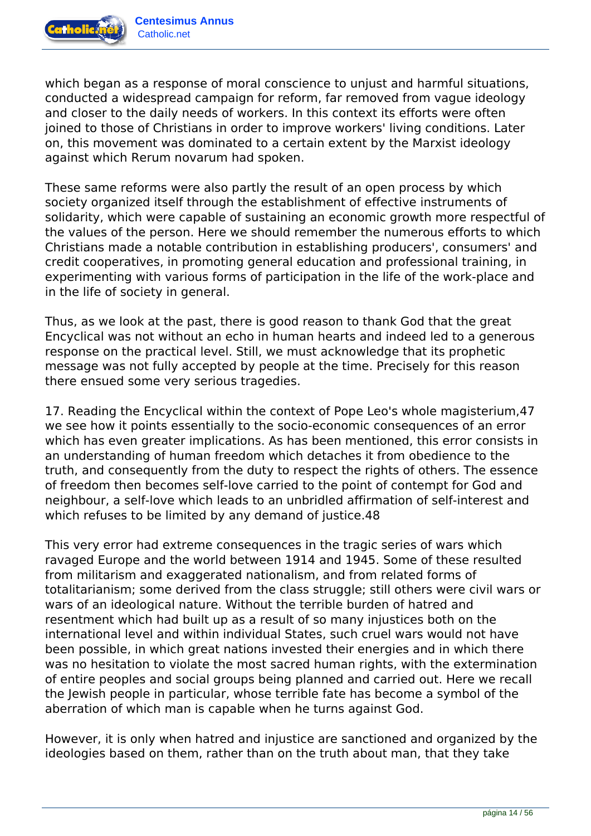

which began as a response of moral conscience to unjust and harmful situations, conducted a widespread campaign for reform, far removed from vague ideology and closer to the daily needs of workers. In this context its efforts were often joined to those of Christians in order to improve workers' living conditions. Later on, this movement was dominated to a certain extent by the Marxist ideology against which Rerum novarum had spoken.

These same reforms were also partly the result of an open process by which society organized itself through the establishment of effective instruments of solidarity, which were capable of sustaining an economic growth more respectful of the values of the person. Here we should remember the numerous efforts to which Christians made a notable contribution in establishing producers', consumers' and credit cooperatives, in promoting general education and professional training, in experimenting with various forms of participation in the life of the work-place and in the life of society in general.

Thus, as we look at the past, there is good reason to thank God that the great Encyclical was not without an echo in human hearts and indeed led to a generous response on the practical level. Still, we must acknowledge that its prophetic message was not fully accepted by people at the time. Precisely for this reason there ensued some very serious tragedies.

17. Reading the Encyclical within the context of Pope Leo's whole magisterium,47 we see how it points essentially to the socio-economic consequences of an error which has even greater implications. As has been mentioned, this error consists in an understanding of human freedom which detaches it from obedience to the truth, and consequently from the duty to respect the rights of others. The essence of freedom then becomes self-love carried to the point of contempt for God and neighbour, a self-love which leads to an unbridled affirmation of self-interest and which refuses to be limited by any demand of justice.48

This very error had extreme consequences in the tragic series of wars which ravaged Europe and the world between 1914 and 1945. Some of these resulted from militarism and exaggerated nationalism, and from related forms of totalitarianism; some derived from the class struggle; still others were civil wars or wars of an ideological nature. Without the terrible burden of hatred and resentment which had built up as a result of so many injustices both on the international level and within individual States, such cruel wars would not have been possible, in which great nations invested their energies and in which there was no hesitation to violate the most sacred human rights, with the extermination of entire peoples and social groups being planned and carried out. Here we recall the Jewish people in particular, whose terrible fate has become a symbol of the aberration of which man is capable when he turns against God.

However, it is only when hatred and injustice are sanctioned and organized by the ideologies based on them, rather than on the truth about man, that they take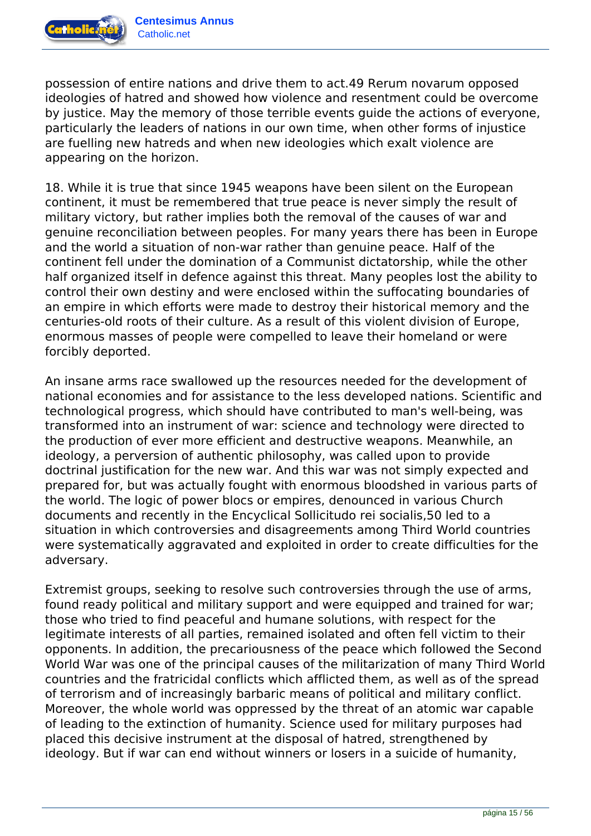

possession of entire nations and drive them to act.49 Rerum novarum opposed ideologies of hatred and showed how violence and resentment could be overcome by justice. May the memory of those terrible events guide the actions of everyone, particularly the leaders of nations in our own time, when other forms of injustice are fuelling new hatreds and when new ideologies which exalt violence are appearing on the horizon.

18. While it is true that since 1945 weapons have been silent on the European continent, it must be remembered that true peace is never simply the result of military victory, but rather implies both the removal of the causes of war and genuine reconciliation between peoples. For many years there has been in Europe and the world a situation of non-war rather than genuine peace. Half of the continent fell under the domination of a Communist dictatorship, while the other half organized itself in defence against this threat. Many peoples lost the ability to control their own destiny and were enclosed within the suffocating boundaries of an empire in which efforts were made to destroy their historical memory and the centuries-old roots of their culture. As a result of this violent division of Europe, enormous masses of people were compelled to leave their homeland or were forcibly deported.

An insane arms race swallowed up the resources needed for the development of national economies and for assistance to the less developed nations. Scientific and technological progress, which should have contributed to man's well-being, was transformed into an instrument of war: science and technology were directed to the production of ever more efficient and destructive weapons. Meanwhile, an ideology, a perversion of authentic philosophy, was called upon to provide doctrinal justification for the new war. And this war was not simply expected and prepared for, but was actually fought with enormous bloodshed in various parts of the world. The logic of power blocs or empires, denounced in various Church documents and recently in the Encyclical Sollicitudo rei socialis,50 led to a situation in which controversies and disagreements among Third World countries were systematically aggravated and exploited in order to create difficulties for the adversary.

Extremist groups, seeking to resolve such controversies through the use of arms, found ready political and military support and were equipped and trained for war; those who tried to find peaceful and humane solutions, with respect for the legitimate interests of all parties, remained isolated and often fell victim to their opponents. In addition, the precariousness of the peace which followed the Second World War was one of the principal causes of the militarization of many Third World countries and the fratricidal conflicts which afflicted them, as well as of the spread of terrorism and of increasingly barbaric means of political and military conflict. Moreover, the whole world was oppressed by the threat of an atomic war capable of leading to the extinction of humanity. Science used for military purposes had placed this decisive instrument at the disposal of hatred, strengthened by ideology. But if war can end without winners or losers in a suicide of humanity,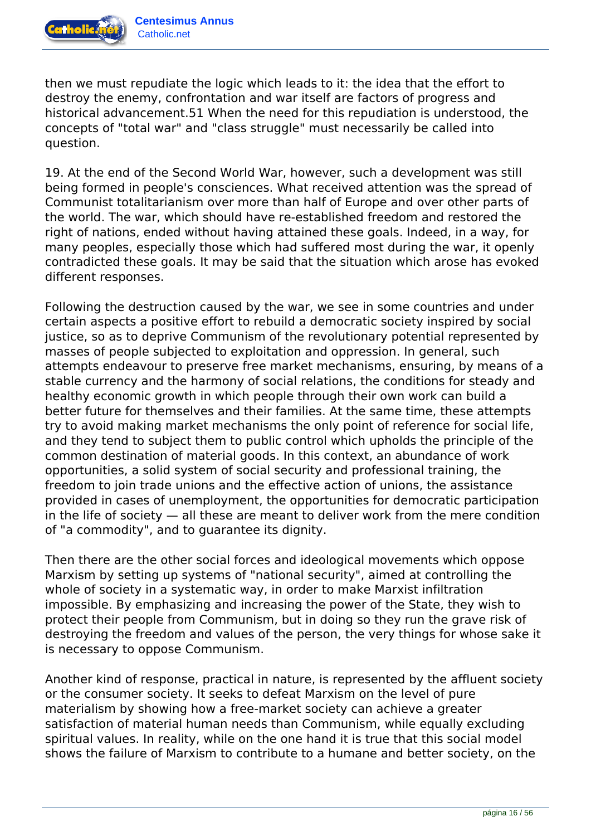

then we must repudiate the logic which leads to it: the idea that the effort to destroy the enemy, confrontation and war itself are factors of progress and historical advancement.51 When the need for this repudiation is understood, the concepts of "total war" and "class struggle" must necessarily be called into question.

19. At the end of the Second World War, however, such a development was still being formed in people's consciences. What received attention was the spread of Communist totalitarianism over more than half of Europe and over other parts of the world. The war, which should have re-established freedom and restored the right of nations, ended without having attained these goals. Indeed, in a way, for many peoples, especially those which had suffered most during the war, it openly contradicted these goals. It may be said that the situation which arose has evoked different responses.

Following the destruction caused by the war, we see in some countries and under certain aspects a positive effort to rebuild a democratic society inspired by social justice, so as to deprive Communism of the revolutionary potential represented by masses of people subjected to exploitation and oppression. In general, such attempts endeavour to preserve free market mechanisms, ensuring, by means of a stable currency and the harmony of social relations, the conditions for steady and healthy economic growth in which people through their own work can build a better future for themselves and their families. At the same time, these attempts try to avoid making market mechanisms the only point of reference for social life, and they tend to subject them to public control which upholds the principle of the common destination of material goods. In this context, an abundance of work opportunities, a solid system of social security and professional training, the freedom to join trade unions and the effective action of unions, the assistance provided in cases of unemployment, the opportunities for democratic participation in the life of society — all these are meant to deliver work from the mere condition of "a commodity", and to guarantee its dignity.

Then there are the other social forces and ideological movements which oppose Marxism by setting up systems of "national security", aimed at controlling the whole of society in a systematic way, in order to make Marxist infiltration impossible. By emphasizing and increasing the power of the State, they wish to protect their people from Communism, but in doing so they run the grave risk of destroying the freedom and values of the person, the very things for whose sake it is necessary to oppose Communism.

Another kind of response, practical in nature, is represented by the affluent society or the consumer society. It seeks to defeat Marxism on the level of pure materialism by showing how a free-market society can achieve a greater satisfaction of material human needs than Communism, while equally excluding spiritual values. In reality, while on the one hand it is true that this social model shows the failure of Marxism to contribute to a humane and better society, on the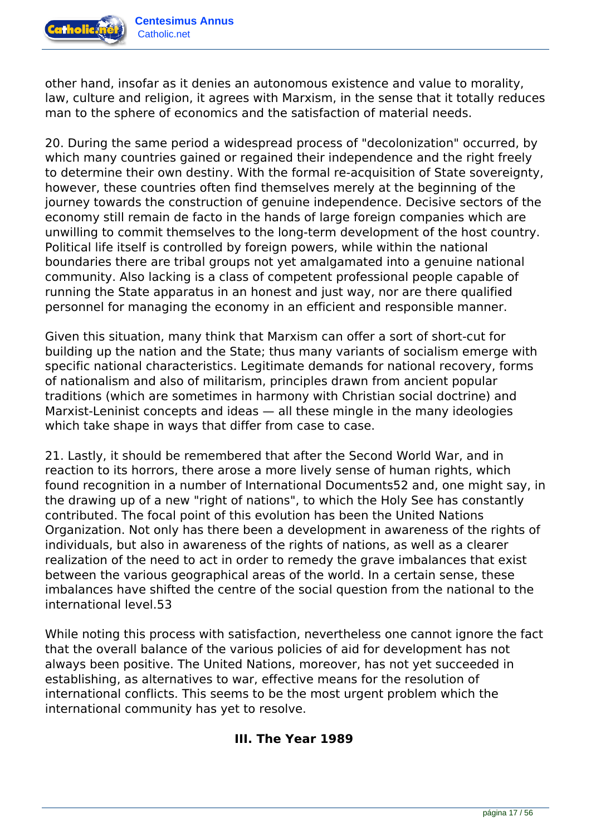

other hand, insofar as it denies an autonomous existence and value to morality, law, culture and religion, it agrees with Marxism, in the sense that it totally reduces man to the sphere of economics and the satisfaction of material needs.

20. During the same period a widespread process of "decolonization" occurred, by which many countries gained or regained their independence and the right freely to determine their own destiny. With the formal re-acquisition of State sovereignty, however, these countries often find themselves merely at the beginning of the journey towards the construction of genuine independence. Decisive sectors of the economy still remain de facto in the hands of large foreign companies which are unwilling to commit themselves to the long-term development of the host country. Political life itself is controlled by foreign powers, while within the national boundaries there are tribal groups not yet amalgamated into a genuine national community. Also lacking is a class of competent professional people capable of running the State apparatus in an honest and just way, nor are there qualified personnel for managing the economy in an efficient and responsible manner.

Given this situation, many think that Marxism can offer a sort of short-cut for building up the nation and the State; thus many variants of socialism emerge with specific national characteristics. Legitimate demands for national recovery, forms of nationalism and also of militarism, principles drawn from ancient popular traditions (which are sometimes in harmony with Christian social doctrine) and Marxist-Leninist concepts and ideas — all these mingle in the many ideologies which take shape in ways that differ from case to case.

21. Lastly, it should be remembered that after the Second World War, and in reaction to its horrors, there arose a more lively sense of human rights, which found recognition in a number of International Documents52 and, one might say, in the drawing up of a new "right of nations", to which the Holy See has constantly contributed. The focal point of this evolution has been the United Nations Organization. Not only has there been a development in awareness of the rights of individuals, but also in awareness of the rights of nations, as well as a clearer realization of the need to act in order to remedy the grave imbalances that exist between the various geographical areas of the world. In a certain sense, these imbalances have shifted the centre of the social question from the national to the international level.53

While noting this process with satisfaction, nevertheless one cannot ignore the fact that the overall balance of the various policies of aid for development has not always been positive. The United Nations, moreover, has not yet succeeded in establishing, as alternatives to war, effective means for the resolution of international conflicts. This seems to be the most urgent problem which the international community has yet to resolve.

### **III. The Year 1989**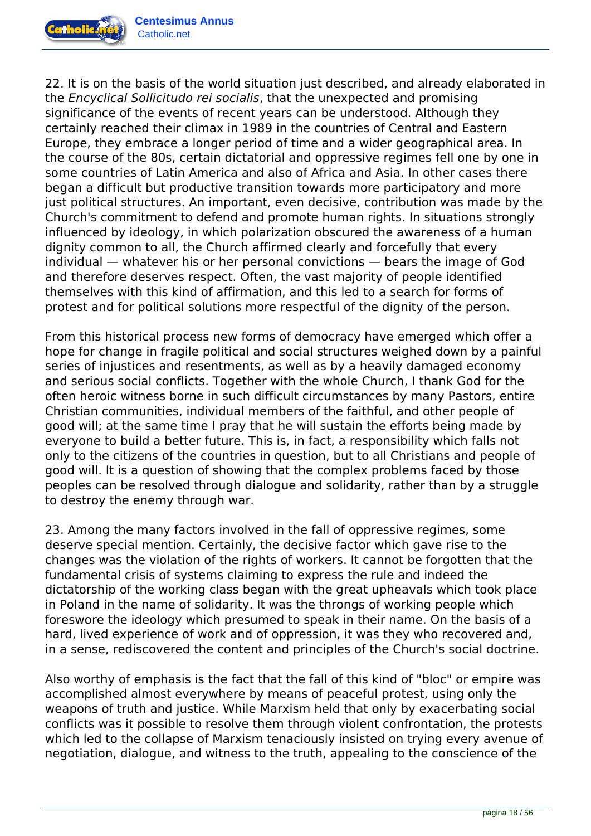

22. It is on the basis of the world situation just described, and already elaborated in the *Encyclical Sollicitudo rei socialis*, that the unexpected and promising significance of the events of recent years can be understood. Although they certainly reached their climax in 1989 in the countries of Central and Eastern Europe, they embrace a longer period of time and a wider geographical area. In the course of the 80s, certain dictatorial and oppressive regimes fell one by one in some countries of Latin America and also of Africa and Asia. In other cases there began a difficult but productive transition towards more participatory and more just political structures. An important, even decisive, contribution was made by the Church's commitment to defend and promote human rights. In situations strongly influenced by ideology, in which polarization obscured the awareness of a human dignity common to all, the Church affirmed clearly and forcefully that every individual — whatever his or her personal convictions — bears the image of God and therefore deserves respect. Often, the vast majority of people identified themselves with this kind of affirmation, and this led to a search for forms of protest and for political solutions more respectful of the dignity of the person.

From this historical process new forms of democracy have emerged which offer a hope for change in fragile political and social structures weighed down by a painful series of injustices and resentments, as well as by a heavily damaged economy and serious social conflicts. Together with the whole Church, I thank God for the often heroic witness borne in such difficult circumstances by many Pastors, entire Christian communities, individual members of the faithful, and other people of good will; at the same time I pray that he will sustain the efforts being made by everyone to build a better future. This is, in fact, a responsibility which falls not only to the citizens of the countries in question, but to all Christians and people of good will. It is a question of showing that the complex problems faced by those peoples can be resolved through dialogue and solidarity, rather than by a struggle to destroy the enemy through war.

23. Among the many factors involved in the fall of oppressive regimes, some deserve special mention. Certainly, the decisive factor which gave rise to the changes was the violation of the rights of workers. It cannot be forgotten that the fundamental crisis of systems claiming to express the rule and indeed the dictatorship of the working class began with the great upheavals which took place in Poland in the name of solidarity. It was the throngs of working people which foreswore the ideology which presumed to speak in their name. On the basis of a hard, lived experience of work and of oppression, it was they who recovered and, in a sense, rediscovered the content and principles of the Church's social doctrine.

Also worthy of emphasis is the fact that the fall of this kind of "bloc" or empire was accomplished almost everywhere by means of peaceful protest, using only the weapons of truth and justice. While Marxism held that only by exacerbating social conflicts was it possible to resolve them through violent confrontation, the protests which led to the collapse of Marxism tenaciously insisted on trying every avenue of negotiation, dialogue, and witness to the truth, appealing to the conscience of the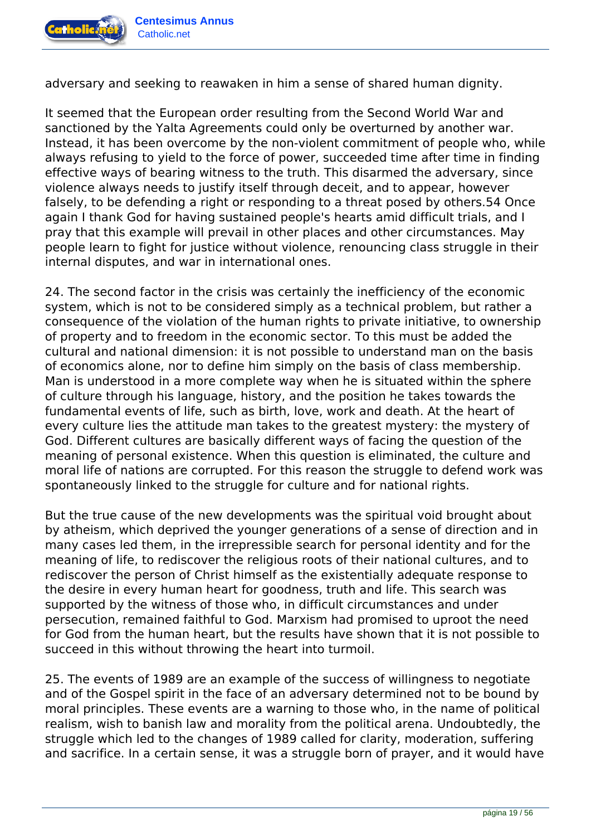

adversary and seeking to reawaken in him a sense of shared human dignity.

It seemed that the European order resulting from the Second World War and sanctioned by the Yalta Agreements could only be overturned by another war. Instead, it has been overcome by the non-violent commitment of people who, while always refusing to yield to the force of power, succeeded time after time in finding effective ways of bearing witness to the truth. This disarmed the adversary, since violence always needs to justify itself through deceit, and to appear, however falsely, to be defending a right or responding to a threat posed by others.54 Once again I thank God for having sustained people's hearts amid difficult trials, and I pray that this example will prevail in other places and other circumstances. May people learn to fight for justice without violence, renouncing class struggle in their internal disputes, and war in international ones.

24. The second factor in the crisis was certainly the inefficiency of the economic system, which is not to be considered simply as a technical problem, but rather a consequence of the violation of the human rights to private initiative, to ownership of property and to freedom in the economic sector. To this must be added the cultural and national dimension: it is not possible to understand man on the basis of economics alone, nor to define him simply on the basis of class membership. Man is understood in a more complete way when he is situated within the sphere of culture through his language, history, and the position he takes towards the fundamental events of life, such as birth, love, work and death. At the heart of every culture lies the attitude man takes to the greatest mystery: the mystery of God. Different cultures are basically different ways of facing the question of the meaning of personal existence. When this question is eliminated, the culture and moral life of nations are corrupted. For this reason the struggle to defend work was spontaneously linked to the struggle for culture and for national rights.

But the true cause of the new developments was the spiritual void brought about by atheism, which deprived the younger generations of a sense of direction and in many cases led them, in the irrepressible search for personal identity and for the meaning of life, to rediscover the religious roots of their national cultures, and to rediscover the person of Christ himself as the existentially adequate response to the desire in every human heart for goodness, truth and life. This search was supported by the witness of those who, in difficult circumstances and under persecution, remained faithful to God. Marxism had promised to uproot the need for God from the human heart, but the results have shown that it is not possible to succeed in this without throwing the heart into turmoil.

25. The events of 1989 are an example of the success of willingness to negotiate and of the Gospel spirit in the face of an adversary determined not to be bound by moral principles. These events are a warning to those who, in the name of political realism, wish to banish law and morality from the political arena. Undoubtedly, the struggle which led to the changes of 1989 called for clarity, moderation, suffering and sacrifice. In a certain sense, it was a struggle born of prayer, and it would have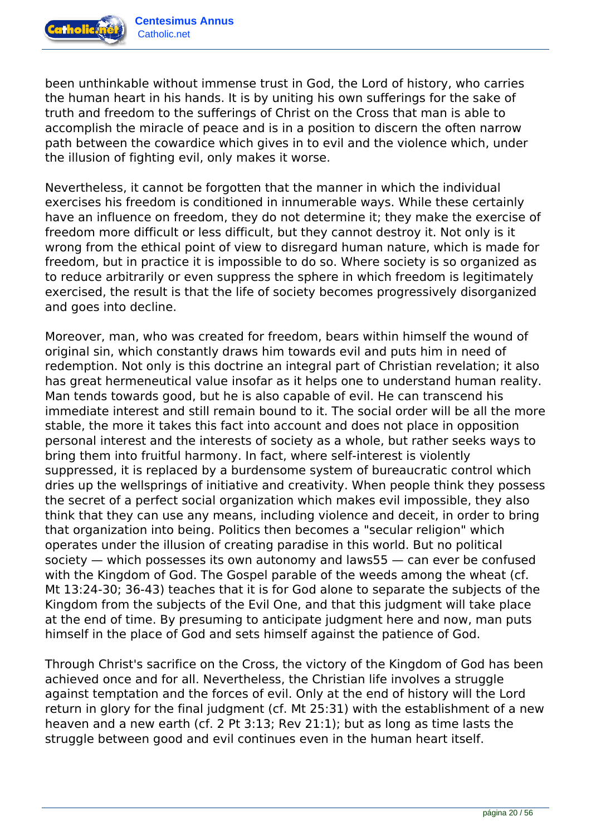

been unthinkable without immense trust in God, the Lord of history, who carries the human heart in his hands. It is by uniting his own sufferings for the sake of truth and freedom to the sufferings of Christ on the Cross that man is able to accomplish the miracle of peace and is in a position to discern the often narrow path between the cowardice which gives in to evil and the violence which, under the illusion of fighting evil, only makes it worse.

Nevertheless, it cannot be forgotten that the manner in which the individual exercises his freedom is conditioned in innumerable ways. While these certainly have an influence on freedom, they do not determine it; they make the exercise of freedom more difficult or less difficult, but they cannot destroy it. Not only is it wrong from the ethical point of view to disregard human nature, which is made for freedom, but in practice it is impossible to do so. Where society is so organized as to reduce arbitrarily or even suppress the sphere in which freedom is legitimately exercised, the result is that the life of society becomes progressively disorganized and goes into decline.

Moreover, man, who was created for freedom, bears within himself the wound of original sin, which constantly draws him towards evil and puts him in need of redemption. Not only is this doctrine an integral part of Christian revelation; it also has great hermeneutical value insofar as it helps one to understand human reality. Man tends towards good, but he is also capable of evil. He can transcend his immediate interest and still remain bound to it. The social order will be all the more stable, the more it takes this fact into account and does not place in opposition personal interest and the interests of society as a whole, but rather seeks ways to bring them into fruitful harmony. In fact, where self-interest is violently suppressed, it is replaced by a burdensome system of bureaucratic control which dries up the wellsprings of initiative and creativity. When people think they possess the secret of a perfect social organization which makes evil impossible, they also think that they can use any means, including violence and deceit, in order to bring that organization into being. Politics then becomes a "secular religion" which operates under the illusion of creating paradise in this world. But no political society — which possesses its own autonomy and laws55 — can ever be confused with the Kingdom of God. The Gospel parable of the weeds among the wheat (cf. Mt 13:24-30; 36-43) teaches that it is for God alone to separate the subjects of the Kingdom from the subjects of the Evil One, and that this judgment will take place at the end of time. By presuming to anticipate judgment here and now, man puts himself in the place of God and sets himself against the patience of God.

Through Christ's sacrifice on the Cross, the victory of the Kingdom of God has been achieved once and for all. Nevertheless, the Christian life involves a struggle against temptation and the forces of evil. Only at the end of history will the Lord return in glory for the final judgment (cf. Mt 25:31) with the establishment of a new heaven and a new earth (cf. 2 Pt 3:13; Rev 21:1); but as long as time lasts the struggle between good and evil continues even in the human heart itself.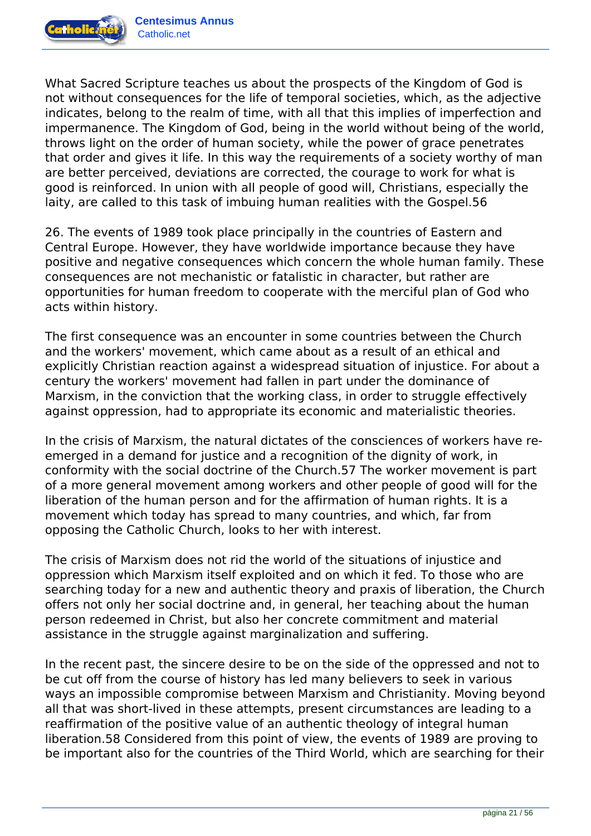

What Sacred Scripture teaches us about the prospects of the Kingdom of God is not without consequences for the life of temporal societies, which, as the adjective indicates, belong to the realm of time, with all that this implies of imperfection and impermanence. The Kingdom of God, being in the world without being of the world, throws light on the order of human society, while the power of grace penetrates that order and gives it life. In this way the requirements of a society worthy of man are better perceived, deviations are corrected, the courage to work for what is good is reinforced. In union with all people of good will, Christians, especially the laity, are called to this task of imbuing human realities with the Gospel.56

26. The events of 1989 took place principally in the countries of Eastern and Central Europe. However, they have worldwide importance because they have positive and negative consequences which concern the whole human family. These consequences are not mechanistic or fatalistic in character, but rather are opportunities for human freedom to cooperate with the merciful plan of God who acts within history.

The first consequence was an encounter in some countries between the Church and the workers' movement, which came about as a result of an ethical and explicitly Christian reaction against a widespread situation of injustice. For about a century the workers' movement had fallen in part under the dominance of Marxism, in the conviction that the working class, in order to struggle effectively against oppression, had to appropriate its economic and materialistic theories.

In the crisis of Marxism, the natural dictates of the consciences of workers have reemerged in a demand for justice and a recognition of the dignity of work, in conformity with the social doctrine of the Church.57 The worker movement is part of a more general movement among workers and other people of good will for the liberation of the human person and for the affirmation of human rights. It is a movement which today has spread to many countries, and which, far from opposing the Catholic Church, looks to her with interest.

The crisis of Marxism does not rid the world of the situations of injustice and oppression which Marxism itself exploited and on which it fed. To those who are searching today for a new and authentic theory and praxis of liberation, the Church offers not only her social doctrine and, in general, her teaching about the human person redeemed in Christ, but also her concrete commitment and material assistance in the struggle against marginalization and suffering.

In the recent past, the sincere desire to be on the side of the oppressed and not to be cut off from the course of history has led many believers to seek in various ways an impossible compromise between Marxism and Christianity. Moving beyond all that was short-lived in these attempts, present circumstances are leading to a reaffirmation of the positive value of an authentic theology of integral human liberation.58 Considered from this point of view, the events of 1989 are proving to be important also for the countries of the Third World, which are searching for their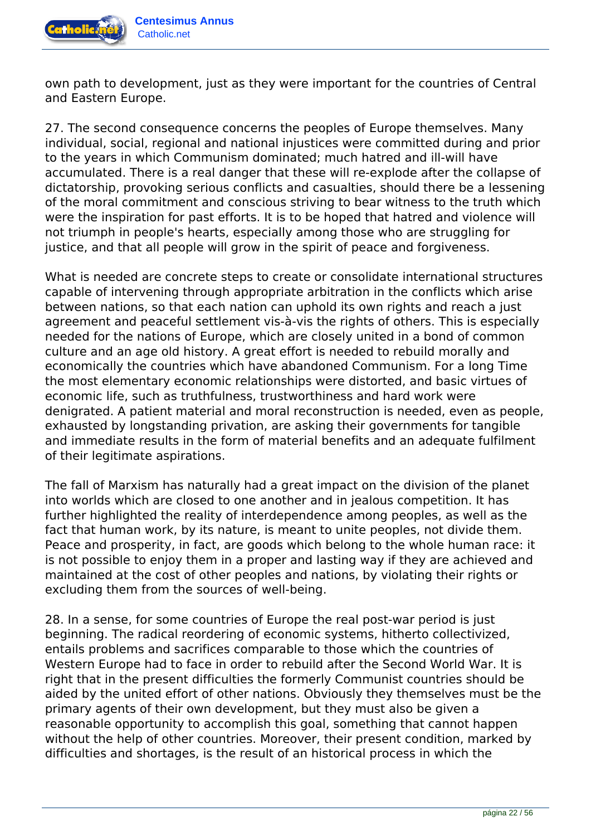

own path to development, just as they were important for the countries of Central and Eastern Europe.

27. The second consequence concerns the peoples of Europe themselves. Many individual, social, regional and national injustices were committed during and prior to the years in which Communism dominated; much hatred and ill-will have accumulated. There is a real danger that these will re-explode after the collapse of dictatorship, provoking serious conflicts and casualties, should there be a lessening of the moral commitment and conscious striving to bear witness to the truth which were the inspiration for past efforts. It is to be hoped that hatred and violence will not triumph in people's hearts, especially among those who are struggling for justice, and that all people will grow in the spirit of peace and forgiveness.

What is needed are concrete steps to create or consolidate international structures capable of intervening through appropriate arbitration in the conflicts which arise between nations, so that each nation can uphold its own rights and reach a just agreement and peaceful settlement vis-à-vis the rights of others. This is especially needed for the nations of Europe, which are closely united in a bond of common culture and an age old history. A great effort is needed to rebuild morally and economically the countries which have abandoned Communism. For a long Time the most elementary economic relationships were distorted, and basic virtues of economic life, such as truthfulness, trustworthiness and hard work were denigrated. A patient material and moral reconstruction is needed, even as people, exhausted by longstanding privation, are asking their governments for tangible and immediate results in the form of material benefits and an adequate fulfilment of their legitimate aspirations.

The fall of Marxism has naturally had a great impact on the division of the planet into worlds which are closed to one another and in jealous competition. It has further highlighted the reality of interdependence among peoples, as well as the fact that human work, by its nature, is meant to unite peoples, not divide them. Peace and prosperity, in fact, are goods which belong to the whole human race: it is not possible to enjoy them in a proper and lasting way if they are achieved and maintained at the cost of other peoples and nations, by violating their rights or excluding them from the sources of well-being.

28. In a sense, for some countries of Europe the real post-war period is just beginning. The radical reordering of economic systems, hitherto collectivized, entails problems and sacrifices comparable to those which the countries of Western Europe had to face in order to rebuild after the Second World War. It is right that in the present difficulties the formerly Communist countries should be aided by the united effort of other nations. Obviously they themselves must be the primary agents of their own development, but they must also be given a reasonable opportunity to accomplish this goal, something that cannot happen without the help of other countries. Moreover, their present condition, marked by difficulties and shortages, is the result of an historical process in which the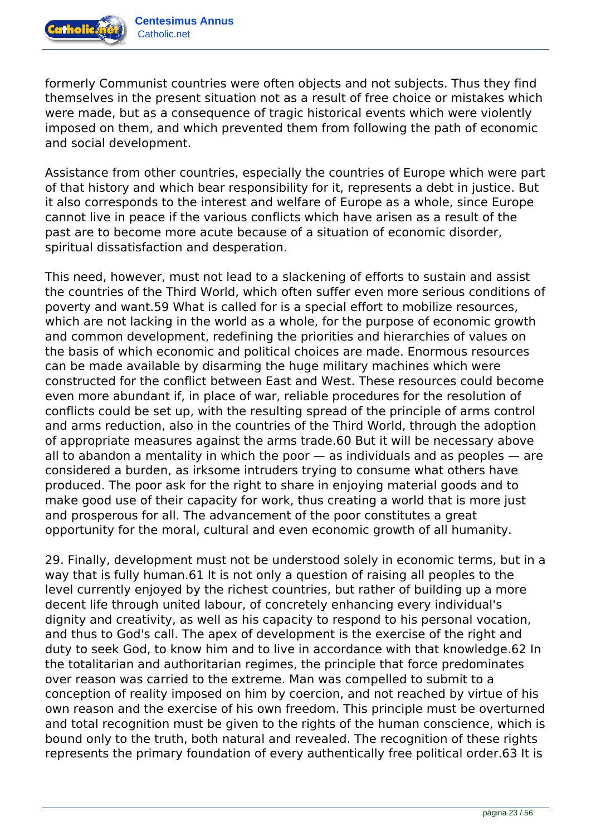

formerly Communist countries were often objects and not subjects. Thus they find themselves in the present situation not as a result of free choice or mistakes which were made, but as a consequence of tragic historical events which were violently imposed on them, and which prevented them from following the path of economic and social development.

Assistance from other countries, especially the countries of Europe which were part of that history and which bear responsibility for it, represents a debt in justice. But it also corresponds to the interest and welfare of Europe as a whole, since Europe cannot live in peace if the various conflicts which have arisen as a result of the past are to become more acute because of a situation of economic disorder, spiritual dissatisfaction and desperation.

This need, however, must not lead to a slackening of efforts to sustain and assist the countries of the Third World, which often suffer even more serious conditions of poverty and want.59 What is called for is a special effort to mobilize resources, which are not lacking in the world as a whole, for the purpose of economic growth and common development, redefining the priorities and hierarchies of values on the basis of which economic and political choices are made. Enormous resources can be made available by disarming the huge military machines which were constructed for the conflict between East and West. These resources could become even more abundant if, in place of war, reliable procedures for the resolution of conflicts could be set up, with the resulting spread of the principle of arms control and arms reduction, also in the countries of the Third World, through the adoption of appropriate measures against the arms trade.60 But it will be necessary above all to abandon a mentality in which the poor — as individuals and as peoples — are considered a burden, as irksome intruders trying to consume what others have produced. The poor ask for the right to share in enjoying material goods and to make good use of their capacity for work, thus creating a world that is more just and prosperous for all. The advancement of the poor constitutes a great opportunity for the moral, cultural and even economic growth of all humanity.

29. Finally, development must not be understood solely in economic terms, but in a way that is fully human.61 It is not only a question of raising all peoples to the level currently enjoyed by the richest countries, but rather of building up a more decent life through united labour, of concretely enhancing every individual's dignity and creativity, as well as his capacity to respond to his personal vocation, and thus to God's call. The apex of development is the exercise of the right and duty to seek God, to know him and to live in accordance with that knowledge.62 In the totalitarian and authoritarian regimes, the principle that force predominates over reason was carried to the extreme. Man was compelled to submit to a conception of reality imposed on him by coercion, and not reached by virtue of his own reason and the exercise of his own freedom. This principle must be overturned and total recognition must be given to the rights of the human conscience, which is bound only to the truth, both natural and revealed. The recognition of these rights represents the primary foundation of every authentically free political order.63 It is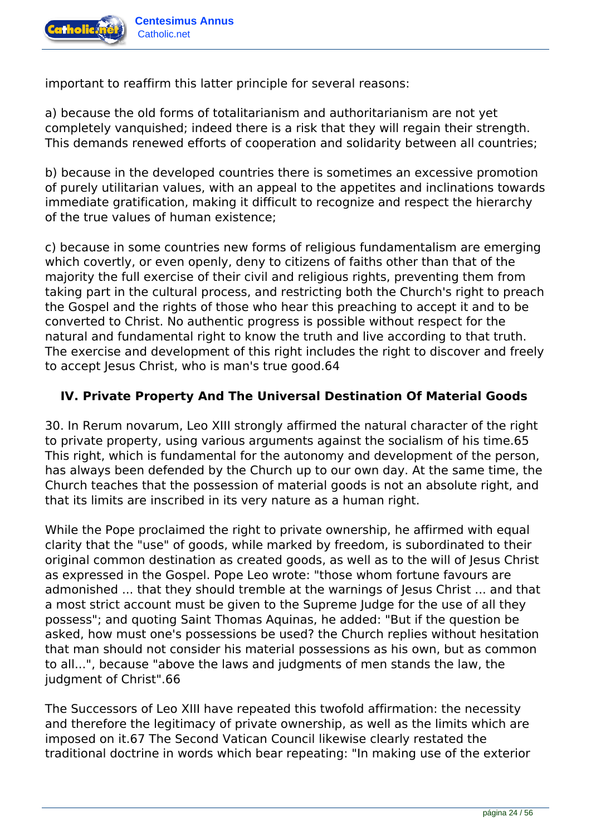

important to reaffirm this latter principle for several reasons:

a) because the old forms of totalitarianism and authoritarianism are not yet completely vanquished; indeed there is a risk that they will regain their strength. This demands renewed efforts of cooperation and solidarity between all countries;

b) because in the developed countries there is sometimes an excessive promotion of purely utilitarian values, with an appeal to the appetites and inclinations towards immediate gratification, making it difficult to recognize and respect the hierarchy of the true values of human existence;

c) because in some countries new forms of religious fundamentalism are emerging which covertly, or even openly, deny to citizens of faiths other than that of the majority the full exercise of their civil and religious rights, preventing them from taking part in the cultural process, and restricting both the Church's right to preach the Gospel and the rights of those who hear this preaching to accept it and to be converted to Christ. No authentic progress is possible without respect for the natural and fundamental right to know the truth and live according to that truth. The exercise and development of this right includes the right to discover and freely to accept Jesus Christ, who is man's true good.64

## **IV. Private Property And The Universal Destination Of Material Goods**

30. In Rerum novarum, Leo XIII strongly affirmed the natural character of the right to private property, using various arguments against the socialism of his time.65 This right, which is fundamental for the autonomy and development of the person, has always been defended by the Church up to our own day. At the same time, the Church teaches that the possession of material goods is not an absolute right, and that its limits are inscribed in its very nature as a human right.

While the Pope proclaimed the right to private ownership, he affirmed with equal clarity that the "use" of goods, while marked by freedom, is subordinated to their original common destination as created goods, as well as to the will of Jesus Christ as expressed in the Gospel. Pope Leo wrote: "those whom fortune favours are admonished ... that they should tremble at the warnings of Jesus Christ ... and that a most strict account must be given to the Supreme Judge for the use of all they possess"; and quoting Saint Thomas Aquinas, he added: "But if the question be asked, how must one's possessions be used? the Church replies without hesitation that man should not consider his material possessions as his own, but as common to all...", because "above the laws and judgments of men stands the law, the judgment of Christ".66

The Successors of Leo XIII have repeated this twofold affirmation: the necessity and therefore the legitimacy of private ownership, as well as the limits which are imposed on it.67 The Second Vatican Council likewise clearly restated the traditional doctrine in words which bear repeating: "In making use of the exterior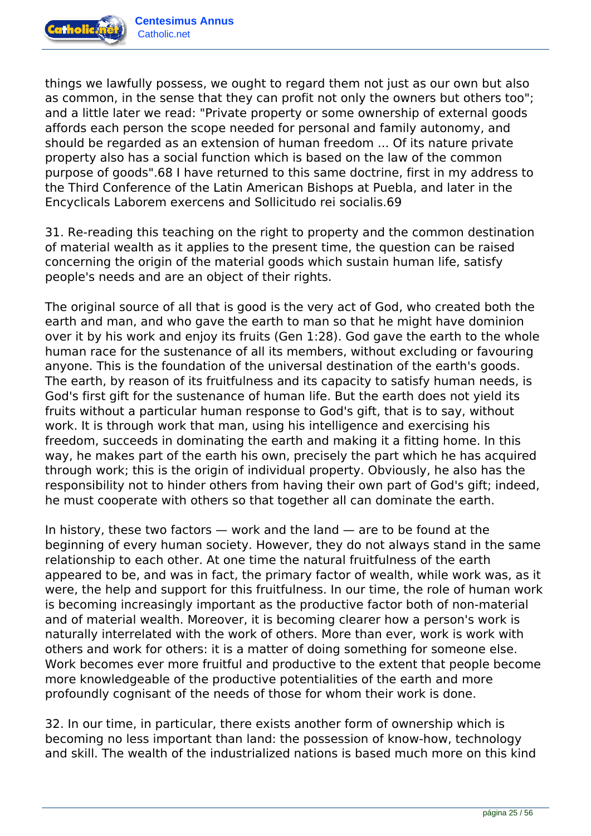

things we lawfully possess, we ought to regard them not just as our own but also as common, in the sense that they can profit not only the owners but others too"; and a little later we read: "Private property or some ownership of external goods affords each person the scope needed for personal and family autonomy, and should be regarded as an extension of human freedom ... Of its nature private property also has a social function which is based on the law of the common purpose of goods".68 I have returned to this same doctrine, first in my address to the Third Conference of the Latin American Bishops at Puebla, and later in the Encyclicals Laborem exercens and Sollicitudo rei socialis.69

31. Re-reading this teaching on the right to property and the common destination of material wealth as it applies to the present time, the question can be raised concerning the origin of the material goods which sustain human life, satisfy people's needs and are an object of their rights.

The original source of all that is good is the very act of God, who created both the earth and man, and who gave the earth to man so that he might have dominion over it by his work and enjoy its fruits (Gen 1:28). God gave the earth to the whole human race for the sustenance of all its members, without excluding or favouring anyone. This is the foundation of the universal destination of the earth's goods. The earth, by reason of its fruitfulness and its capacity to satisfy human needs, is God's first gift for the sustenance of human life. But the earth does not yield its fruits without a particular human response to God's gift, that is to say, without work. It is through work that man, using his intelligence and exercising his freedom, succeeds in dominating the earth and making it a fitting home. In this way, he makes part of the earth his own, precisely the part which he has acquired through work; this is the origin of individual property. Obviously, he also has the responsibility not to hinder others from having their own part of God's gift; indeed, he must cooperate with others so that together all can dominate the earth.

In history, these two factors — work and the land — are to be found at the beginning of every human society. However, they do not always stand in the same relationship to each other. At one time the natural fruitfulness of the earth appeared to be, and was in fact, the primary factor of wealth, while work was, as it were, the help and support for this fruitfulness. In our time, the role of human work is becoming increasingly important as the productive factor both of non-material and of material wealth. Moreover, it is becoming clearer how a person's work is naturally interrelated with the work of others. More than ever, work is work with others and work for others: it is a matter of doing something for someone else. Work becomes ever more fruitful and productive to the extent that people become more knowledgeable of the productive potentialities of the earth and more profoundly cognisant of the needs of those for whom their work is done.

32. In our time, in particular, there exists another form of ownership which is becoming no less important than land: the possession of know-how, technology and skill. The wealth of the industrialized nations is based much more on this kind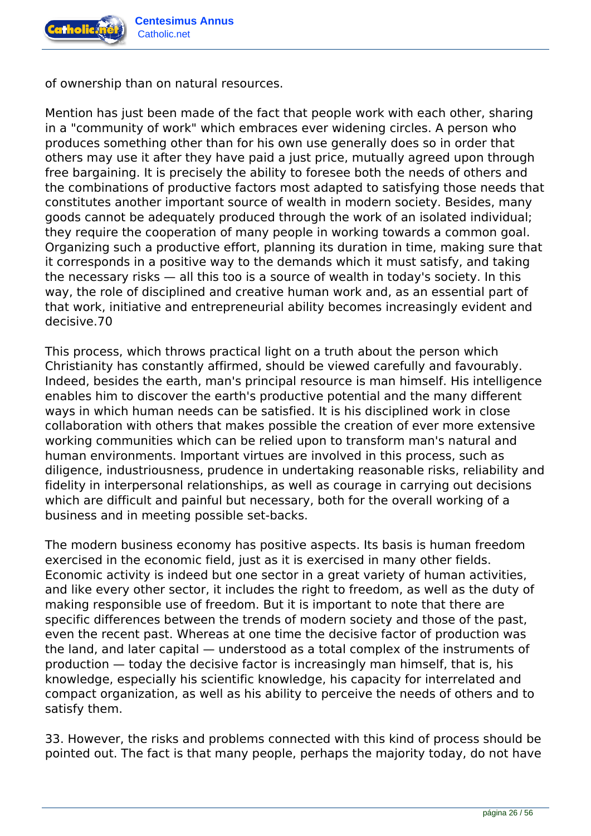

of ownership than on natural resources.

Mention has just been made of the fact that people work with each other, sharing in a "community of work" which embraces ever widening circles. A person who produces something other than for his own use generally does so in order that others may use it after they have paid a just price, mutually agreed upon through free bargaining. It is precisely the ability to foresee both the needs of others and the combinations of productive factors most adapted to satisfying those needs that constitutes another important source of wealth in modern society. Besides, many goods cannot be adequately produced through the work of an isolated individual; they require the cooperation of many people in working towards a common goal. Organizing such a productive effort, planning its duration in time, making sure that it corresponds in a positive way to the demands which it must satisfy, and taking the necessary risks — all this too is a source of wealth in today's society. In this way, the role of disciplined and creative human work and, as an essential part of that work, initiative and entrepreneurial ability becomes increasingly evident and decisive.70

This process, which throws practical light on a truth about the person which Christianity has constantly affirmed, should be viewed carefully and favourably. Indeed, besides the earth, man's principal resource is man himself. His intelligence enables him to discover the earth's productive potential and the many different ways in which human needs can be satisfied. It is his disciplined work in close collaboration with others that makes possible the creation of ever more extensive working communities which can be relied upon to transform man's natural and human environments. Important virtues are involved in this process, such as diligence, industriousness, prudence in undertaking reasonable risks, reliability and fidelity in interpersonal relationships, as well as courage in carrying out decisions which are difficult and painful but necessary, both for the overall working of a business and in meeting possible set-backs.

The modern business economy has positive aspects. Its basis is human freedom exercised in the economic field, just as it is exercised in many other fields. Economic activity is indeed but one sector in a great variety of human activities, and like every other sector, it includes the right to freedom, as well as the duty of making responsible use of freedom. But it is important to note that there are specific differences between the trends of modern society and those of the past, even the recent past. Whereas at one time the decisive factor of production was the land, and later capital — understood as a total complex of the instruments of production — today the decisive factor is increasingly man himself, that is, his knowledge, especially his scientific knowledge, his capacity for interrelated and compact organization, as well as his ability to perceive the needs of others and to satisfy them.

33. However, the risks and problems connected with this kind of process should be pointed out. The fact is that many people, perhaps the majority today, do not have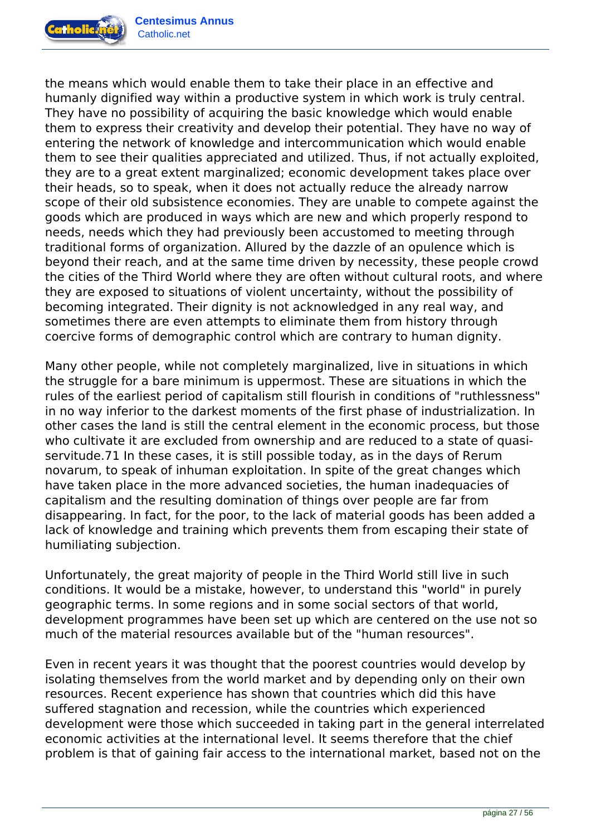

the means which would enable them to take their place in an effective and humanly dignified way within a productive system in which work is truly central. They have no possibility of acquiring the basic knowledge which would enable them to express their creativity and develop their potential. They have no way of entering the network of knowledge and intercommunication which would enable them to see their qualities appreciated and utilized. Thus, if not actually exploited, they are to a great extent marginalized; economic development takes place over their heads, so to speak, when it does not actually reduce the already narrow scope of their old subsistence economies. They are unable to compete against the goods which are produced in ways which are new and which properly respond to needs, needs which they had previously been accustomed to meeting through traditional forms of organization. Allured by the dazzle of an opulence which is beyond their reach, and at the same time driven by necessity, these people crowd the cities of the Third World where they are often without cultural roots, and where they are exposed to situations of violent uncertainty, without the possibility of becoming integrated. Their dignity is not acknowledged in any real way, and sometimes there are even attempts to eliminate them from history through coercive forms of demographic control which are contrary to human dignity.

Many other people, while not completely marginalized, live in situations in which the struggle for a bare minimum is uppermost. These are situations in which the rules of the earliest period of capitalism still flourish in conditions of "ruthlessness" in no way inferior to the darkest moments of the first phase of industrialization. In other cases the land is still the central element in the economic process, but those who cultivate it are excluded from ownership and are reduced to a state of quasiservitude.71 In these cases, it is still possible today, as in the days of Rerum novarum, to speak of inhuman exploitation. In spite of the great changes which have taken place in the more advanced societies, the human inadequacies of capitalism and the resulting domination of things over people are far from disappearing. In fact, for the poor, to the lack of material goods has been added a lack of knowledge and training which prevents them from escaping their state of humiliating subjection.

Unfortunately, the great majority of people in the Third World still live in such conditions. It would be a mistake, however, to understand this "world" in purely geographic terms. In some regions and in some social sectors of that world, development programmes have been set up which are centered on the use not so much of the material resources available but of the "human resources".

Even in recent years it was thought that the poorest countries would develop by isolating themselves from the world market and by depending only on their own resources. Recent experience has shown that countries which did this have suffered stagnation and recession, while the countries which experienced development were those which succeeded in taking part in the general interrelated economic activities at the international level. It seems therefore that the chief problem is that of gaining fair access to the international market, based not on the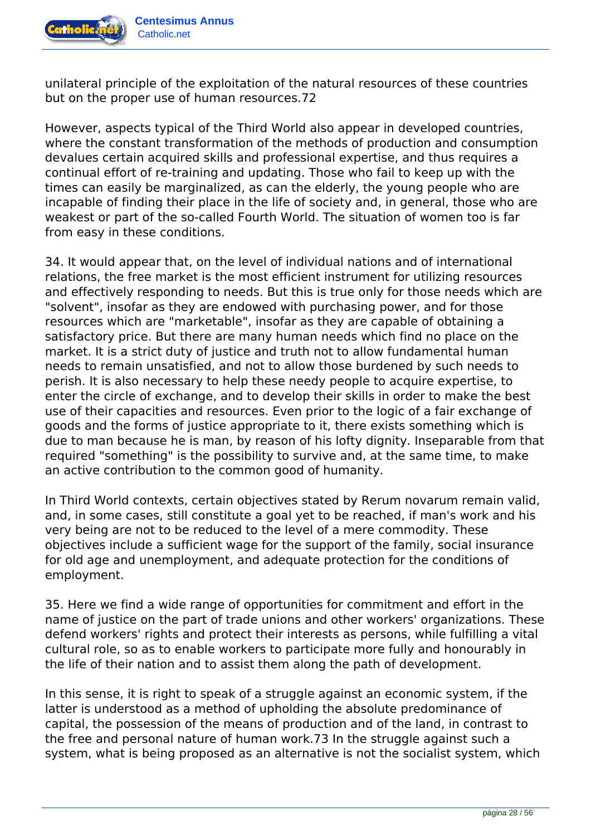

unilateral principle of the exploitation of the natural resources of these countries but on the proper use of human resources.72

However, aspects typical of the Third World also appear in developed countries, where the constant transformation of the methods of production and consumption devalues certain acquired skills and professional expertise, and thus requires a continual effort of re-training and updating. Those who fail to keep up with the times can easily be marginalized, as can the elderly, the young people who are incapable of finding their place in the life of society and, in general, those who are weakest or part of the so-called Fourth World. The situation of women too is far from easy in these conditions.

34. It would appear that, on the level of individual nations and of international relations, the free market is the most efficient instrument for utilizing resources and effectively responding to needs. But this is true only for those needs which are "solvent", insofar as they are endowed with purchasing power, and for those resources which are "marketable", insofar as they are capable of obtaining a satisfactory price. But there are many human needs which find no place on the market. It is a strict duty of justice and truth not to allow fundamental human needs to remain unsatisfied, and not to allow those burdened by such needs to perish. It is also necessary to help these needy people to acquire expertise, to enter the circle of exchange, and to develop their skills in order to make the best use of their capacities and resources. Even prior to the logic of a fair exchange of goods and the forms of justice appropriate to it, there exists something which is due to man because he is man, by reason of his lofty dignity. Inseparable from that required "something" is the possibility to survive and, at the same time, to make an active contribution to the common good of humanity.

In Third World contexts, certain objectives stated by Rerum novarum remain valid, and, in some cases, still constitute a goal yet to be reached, if man's work and his very being are not to be reduced to the level of a mere commodity. These objectives include a sufficient wage for the support of the family, social insurance for old age and unemployment, and adequate protection for the conditions of employment.

35. Here we find a wide range of opportunities for commitment and effort in the name of justice on the part of trade unions and other workers' organizations. These defend workers' rights and protect their interests as persons, while fulfilling a vital cultural role, so as to enable workers to participate more fully and honourably in the life of their nation and to assist them along the path of development.

In this sense, it is right to speak of a struggle against an economic system, if the latter is understood as a method of upholding the absolute predominance of capital, the possession of the means of production and of the land, in contrast to the free and personal nature of human work.73 In the struggle against such a system, what is being proposed as an alternative is not the socialist system, which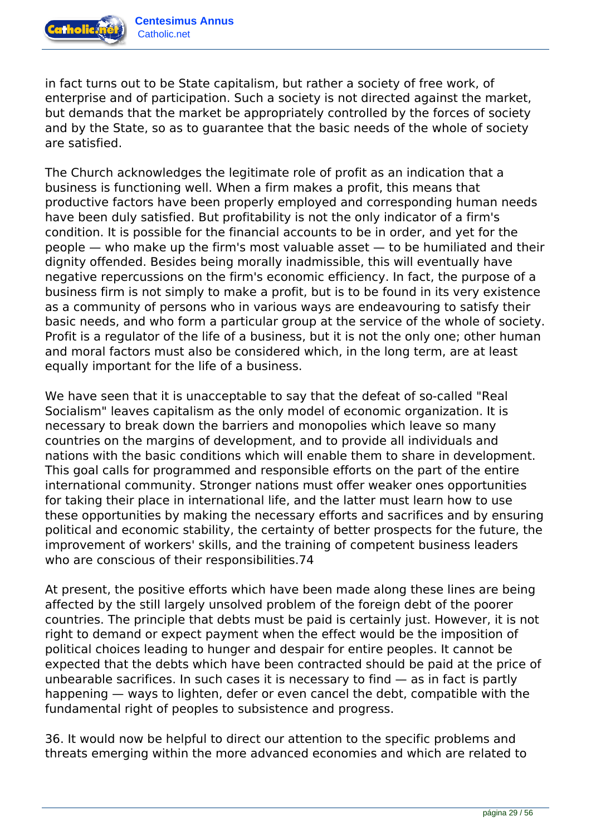

in fact turns out to be State capitalism, but rather a society of free work, of enterprise and of participation. Such a society is not directed against the market, but demands that the market be appropriately controlled by the forces of society and by the State, so as to guarantee that the basic needs of the whole of society are satisfied.

The Church acknowledges the legitimate role of profit as an indication that a business is functioning well. When a firm makes a profit, this means that productive factors have been properly employed and corresponding human needs have been duly satisfied. But profitability is not the only indicator of a firm's condition. It is possible for the financial accounts to be in order, and yet for the people — who make up the firm's most valuable asset — to be humiliated and their dignity offended. Besides being morally inadmissible, this will eventually have negative repercussions on the firm's economic efficiency. In fact, the purpose of a business firm is not simply to make a profit, but is to be found in its very existence as a community of persons who in various ways are endeavouring to satisfy their basic needs, and who form a particular group at the service of the whole of society. Profit is a regulator of the life of a business, but it is not the only one; other human and moral factors must also be considered which, in the long term, are at least equally important for the life of a business.

We have seen that it is unacceptable to say that the defeat of so-called "Real Socialism" leaves capitalism as the only model of economic organization. It is necessary to break down the barriers and monopolies which leave so many countries on the margins of development, and to provide all individuals and nations with the basic conditions which will enable them to share in development. This goal calls for programmed and responsible efforts on the part of the entire international community. Stronger nations must offer weaker ones opportunities for taking their place in international life, and the latter must learn how to use these opportunities by making the necessary efforts and sacrifices and by ensuring political and economic stability, the certainty of better prospects for the future, the improvement of workers' skills, and the training of competent business leaders who are conscious of their responsibilities.74

At present, the positive efforts which have been made along these lines are being affected by the still largely unsolved problem of the foreign debt of the poorer countries. The principle that debts must be paid is certainly just. However, it is not right to demand or expect payment when the effect would be the imposition of political choices leading to hunger and despair for entire peoples. It cannot be expected that the debts which have been contracted should be paid at the price of unbearable sacrifices. In such cases it is necessary to find — as in fact is partly happening — ways to lighten, defer or even cancel the debt, compatible with the fundamental right of peoples to subsistence and progress.

36. It would now be helpful to direct our attention to the specific problems and threats emerging within the more advanced economies and which are related to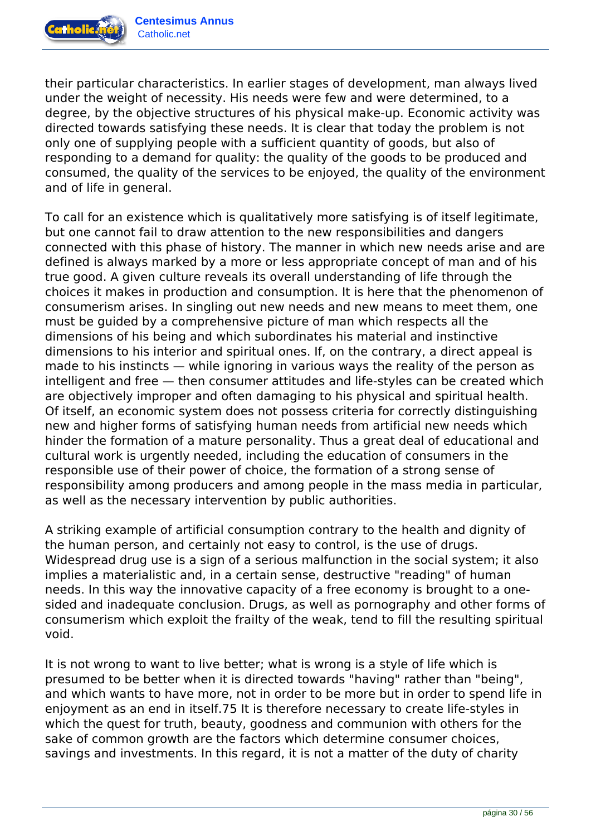

their particular characteristics. In earlier stages of development, man always lived under the weight of necessity. His needs were few and were determined, to a degree, by the objective structures of his physical make-up. Economic activity was directed towards satisfying these needs. It is clear that today the problem is not only one of supplying people with a sufficient quantity of goods, but also of responding to a demand for quality: the quality of the goods to be produced and consumed, the quality of the services to be enjoyed, the quality of the environment and of life in general.

To call for an existence which is qualitatively more satisfying is of itself legitimate, but one cannot fail to draw attention to the new responsibilities and dangers connected with this phase of history. The manner in which new needs arise and are defined is always marked by a more or less appropriate concept of man and of his true good. A given culture reveals its overall understanding of life through the choices it makes in production and consumption. It is here that the phenomenon of consumerism arises. In singling out new needs and new means to meet them, one must be guided by a comprehensive picture of man which respects all the dimensions of his being and which subordinates his material and instinctive dimensions to his interior and spiritual ones. If, on the contrary, a direct appeal is made to his instincts — while ignoring in various ways the reality of the person as intelligent and free — then consumer attitudes and life-styles can be created which are objectively improper and often damaging to his physical and spiritual health. Of itself, an economic system does not possess criteria for correctly distinguishing new and higher forms of satisfying human needs from artificial new needs which hinder the formation of a mature personality. Thus a great deal of educational and cultural work is urgently needed, including the education of consumers in the responsible use of their power of choice, the formation of a strong sense of responsibility among producers and among people in the mass media in particular, as well as the necessary intervention by public authorities.

A striking example of artificial consumption contrary to the health and dignity of the human person, and certainly not easy to control, is the use of drugs. Widespread drug use is a sign of a serious malfunction in the social system; it also implies a materialistic and, in a certain sense, destructive "reading" of human needs. In this way the innovative capacity of a free economy is brought to a onesided and inadequate conclusion. Drugs, as well as pornography and other forms of consumerism which exploit the frailty of the weak, tend to fill the resulting spiritual void.

It is not wrong to want to live better; what is wrong is a style of life which is presumed to be better when it is directed towards "having" rather than "being", and which wants to have more, not in order to be more but in order to spend life in enjoyment as an end in itself.75 It is therefore necessary to create life-styles in which the quest for truth, beauty, goodness and communion with others for the sake of common growth are the factors which determine consumer choices, savings and investments. In this regard, it is not a matter of the duty of charity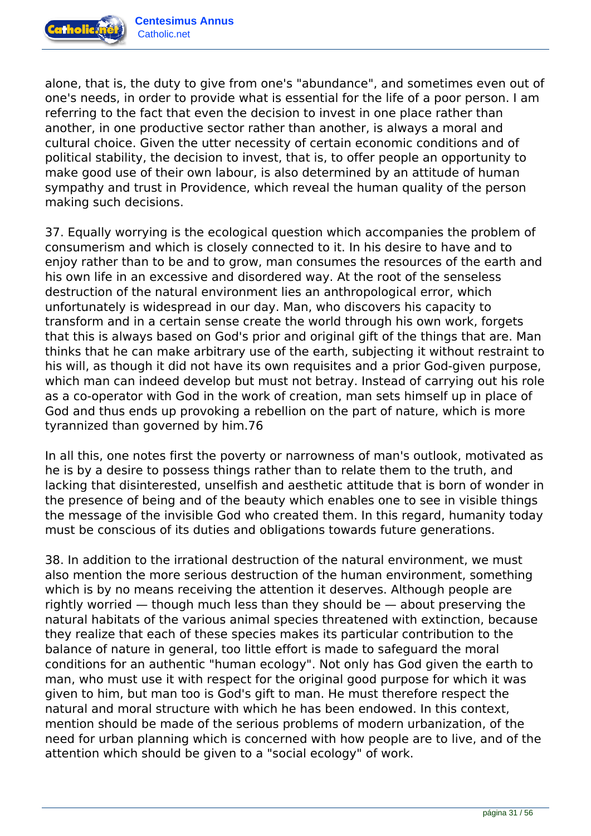

alone, that is, the duty to give from one's "abundance", and sometimes even out of one's needs, in order to provide what is essential for the life of a poor person. I am referring to the fact that even the decision to invest in one place rather than another, in one productive sector rather than another, is always a moral and cultural choice. Given the utter necessity of certain economic conditions and of political stability, the decision to invest, that is, to offer people an opportunity to make good use of their own labour, is also determined by an attitude of human sympathy and trust in Providence, which reveal the human quality of the person making such decisions.

37. Equally worrying is the ecological question which accompanies the problem of consumerism and which is closely connected to it. In his desire to have and to enjoy rather than to be and to grow, man consumes the resources of the earth and his own life in an excessive and disordered way. At the root of the senseless destruction of the natural environment lies an anthropological error, which unfortunately is widespread in our day. Man, who discovers his capacity to transform and in a certain sense create the world through his own work, forgets that this is always based on God's prior and original gift of the things that are. Man thinks that he can make arbitrary use of the earth, subjecting it without restraint to his will, as though it did not have its own requisites and a prior God-given purpose, which man can indeed develop but must not betray. Instead of carrying out his role as a co-operator with God in the work of creation, man sets himself up in place of God and thus ends up provoking a rebellion on the part of nature, which is more tyrannized than governed by him.76

In all this, one notes first the poverty or narrowness of man's outlook, motivated as he is by a desire to possess things rather than to relate them to the truth, and lacking that disinterested, unselfish and aesthetic attitude that is born of wonder in the presence of being and of the beauty which enables one to see in visible things the message of the invisible God who created them. In this regard, humanity today must be conscious of its duties and obligations towards future generations.

38. In addition to the irrational destruction of the natural environment, we must also mention the more serious destruction of the human environment, something which is by no means receiving the attention it deserves. Although people are rightly worried — though much less than they should be — about preserving the natural habitats of the various animal species threatened with extinction, because they realize that each of these species makes its particular contribution to the balance of nature in general, too little effort is made to safeguard the moral conditions for an authentic "human ecology". Not only has God given the earth to man, who must use it with respect for the original good purpose for which it was given to him, but man too is God's gift to man. He must therefore respect the natural and moral structure with which he has been endowed. In this context, mention should be made of the serious problems of modern urbanization, of the need for urban planning which is concerned with how people are to live, and of the attention which should be given to a "social ecology" of work.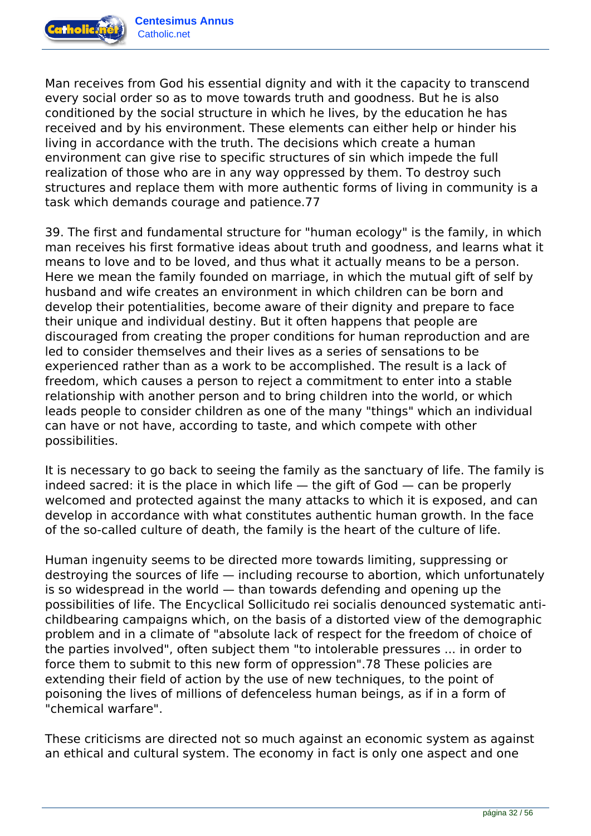

Man receives from God his essential dignity and with it the capacity to transcend every social order so as to move towards truth and goodness. But he is also conditioned by the social structure in which he lives, by the education he has received and by his environment. These elements can either help or hinder his living in accordance with the truth. The decisions which create a human environment can give rise to specific structures of sin which impede the full realization of those who are in any way oppressed by them. To destroy such structures and replace them with more authentic forms of living in community is a task which demands courage and patience.77

39. The first and fundamental structure for "human ecology" is the family, in which man receives his first formative ideas about truth and goodness, and learns what it means to love and to be loved, and thus what it actually means to be a person. Here we mean the family founded on marriage, in which the mutual gift of self by husband and wife creates an environment in which children can be born and develop their potentialities, become aware of their dignity and prepare to face their unique and individual destiny. But it often happens that people are discouraged from creating the proper conditions for human reproduction and are led to consider themselves and their lives as a series of sensations to be experienced rather than as a work to be accomplished. The result is a lack of freedom, which causes a person to reject a commitment to enter into a stable relationship with another person and to bring children into the world, or which leads people to consider children as one of the many "things" which an individual can have or not have, according to taste, and which compete with other possibilities.

It is necessary to go back to seeing the family as the sanctuary of life. The family is indeed sacred: it is the place in which life — the gift of God — can be properly welcomed and protected against the many attacks to which it is exposed, and can develop in accordance with what constitutes authentic human growth. In the face of the so-called culture of death, the family is the heart of the culture of life.

Human ingenuity seems to be directed more towards limiting, suppressing or destroying the sources of life — including recourse to abortion, which unfortunately is so widespread in the world — than towards defending and opening up the possibilities of life. The Encyclical Sollicitudo rei socialis denounced systematic antichildbearing campaigns which, on the basis of a distorted view of the demographic problem and in a climate of "absolute lack of respect for the freedom of choice of the parties involved", often subject them "to intolerable pressures ... in order to force them to submit to this new form of oppression".78 These policies are extending their field of action by the use of new techniques, to the point of poisoning the lives of millions of defenceless human beings, as if in a form of "chemical warfare".

These criticisms are directed not so much against an economic system as against an ethical and cultural system. The economy in fact is only one aspect and one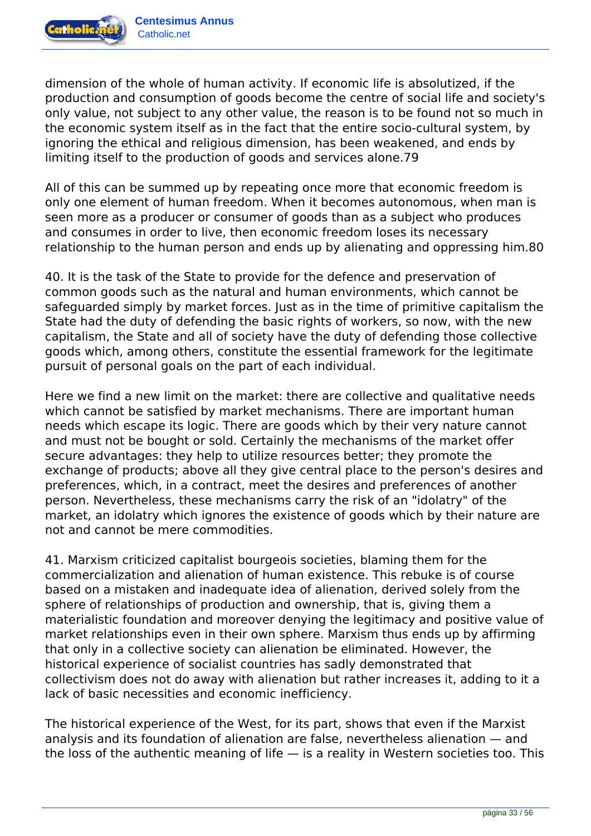

dimension of the whole of human activity. If economic life is absolutized, if the production and consumption of goods become the centre of social life and society's only value, not subject to any other value, the reason is to be found not so much in the economic system itself as in the fact that the entire socio-cultural system, by ignoring the ethical and religious dimension, has been weakened, and ends by limiting itself to the production of goods and services alone.79

All of this can be summed up by repeating once more that economic freedom is only one element of human freedom. When it becomes autonomous, when man is seen more as a producer or consumer of goods than as a subject who produces and consumes in order to live, then economic freedom loses its necessary relationship to the human person and ends up by alienating and oppressing him.80

40. It is the task of the State to provide for the defence and preservation of common goods such as the natural and human environments, which cannot be safeguarded simply by market forces. Just as in the time of primitive capitalism the State had the duty of defending the basic rights of workers, so now, with the new capitalism, the State and all of society have the duty of defending those collective goods which, among others, constitute the essential framework for the legitimate pursuit of personal goals on the part of each individual.

Here we find a new limit on the market: there are collective and qualitative needs which cannot be satisfied by market mechanisms. There are important human needs which escape its logic. There are goods which by their very nature cannot and must not be bought or sold. Certainly the mechanisms of the market offer secure advantages: they help to utilize resources better; they promote the exchange of products; above all they give central place to the person's desires and preferences, which, in a contract, meet the desires and preferences of another person. Nevertheless, these mechanisms carry the risk of an "idolatry" of the market, an idolatry which ignores the existence of goods which by their nature are not and cannot be mere commodities.

41. Marxism criticized capitalist bourgeois societies, blaming them for the commercialization and alienation of human existence. This rebuke is of course based on a mistaken and inadequate idea of alienation, derived solely from the sphere of relationships of production and ownership, that is, giving them a materialistic foundation and moreover denying the legitimacy and positive value of market relationships even in their own sphere. Marxism thus ends up by affirming that only in a collective society can alienation be eliminated. However, the historical experience of socialist countries has sadly demonstrated that collectivism does not do away with alienation but rather increases it, adding to it a lack of basic necessities and economic inefficiency.

The historical experience of the West, for its part, shows that even if the Marxist analysis and its foundation of alienation are false, nevertheless alienation — and the loss of the authentic meaning of life — is a reality in Western societies too. This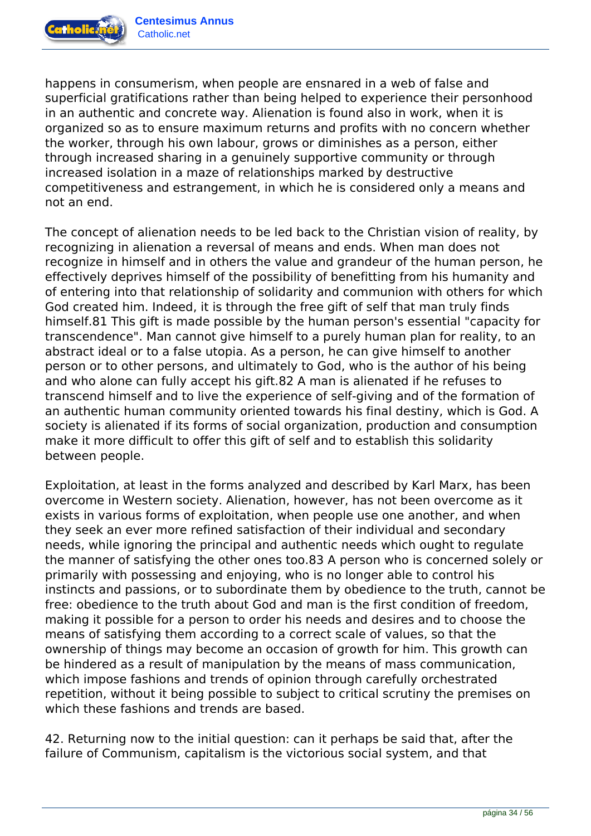

happens in consumerism, when people are ensnared in a web of false and superficial gratifications rather than being helped to experience their personhood in an authentic and concrete way. Alienation is found also in work, when it is organized so as to ensure maximum returns and profits with no concern whether the worker, through his own labour, grows or diminishes as a person, either through increased sharing in a genuinely supportive community or through increased isolation in a maze of relationships marked by destructive competitiveness and estrangement, in which he is considered only a means and not an end.

The concept of alienation needs to be led back to the Christian vision of reality, by recognizing in alienation a reversal of means and ends. When man does not recognize in himself and in others the value and grandeur of the human person, he effectively deprives himself of the possibility of benefitting from his humanity and of entering into that relationship of solidarity and communion with others for which God created him. Indeed, it is through the free gift of self that man truly finds himself.81 This gift is made possible by the human person's essential "capacity for transcendence". Man cannot give himself to a purely human plan for reality, to an abstract ideal or to a false utopia. As a person, he can give himself to another person or to other persons, and ultimately to God, who is the author of his being and who alone can fully accept his gift.82 A man is alienated if he refuses to transcend himself and to live the experience of self-giving and of the formation of an authentic human community oriented towards his final destiny, which is God. A society is alienated if its forms of social organization, production and consumption make it more difficult to offer this gift of self and to establish this solidarity between people.

Exploitation, at least in the forms analyzed and described by Karl Marx, has been overcome in Western society. Alienation, however, has not been overcome as it exists in various forms of exploitation, when people use one another, and when they seek an ever more refined satisfaction of their individual and secondary needs, while ignoring the principal and authentic needs which ought to regulate the manner of satisfying the other ones too.83 A person who is concerned solely or primarily with possessing and enjoying, who is no longer able to control his instincts and passions, or to subordinate them by obedience to the truth, cannot be free: obedience to the truth about God and man is the first condition of freedom, making it possible for a person to order his needs and desires and to choose the means of satisfying them according to a correct scale of values, so that the ownership of things may become an occasion of growth for him. This growth can be hindered as a result of manipulation by the means of mass communication, which impose fashions and trends of opinion through carefully orchestrated repetition, without it being possible to subject to critical scrutiny the premises on which these fashions and trends are based.

42. Returning now to the initial question: can it perhaps be said that, after the failure of Communism, capitalism is the victorious social system, and that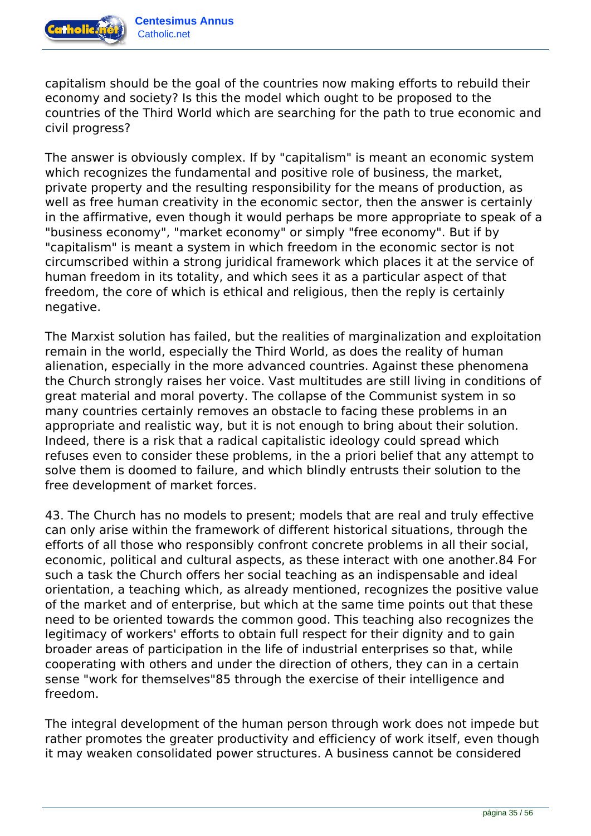

capitalism should be the goal of the countries now making efforts to rebuild their economy and society? Is this the model which ought to be proposed to the countries of the Third World which are searching for the path to true economic and civil progress?

The answer is obviously complex. If by "capitalism" is meant an economic system which recognizes the fundamental and positive role of business, the market, private property and the resulting responsibility for the means of production, as well as free human creativity in the economic sector, then the answer is certainly in the affirmative, even though it would perhaps be more appropriate to speak of a "business economy", "market economy" or simply "free economy". But if by "capitalism" is meant a system in which freedom in the economic sector is not circumscribed within a strong juridical framework which places it at the service of human freedom in its totality, and which sees it as a particular aspect of that freedom, the core of which is ethical and religious, then the reply is certainly negative.

The Marxist solution has failed, but the realities of marginalization and exploitation remain in the world, especially the Third World, as does the reality of human alienation, especially in the more advanced countries. Against these phenomena the Church strongly raises her voice. Vast multitudes are still living in conditions of great material and moral poverty. The collapse of the Communist system in so many countries certainly removes an obstacle to facing these problems in an appropriate and realistic way, but it is not enough to bring about their solution. Indeed, there is a risk that a radical capitalistic ideology could spread which refuses even to consider these problems, in the a priori belief that any attempt to solve them is doomed to failure, and which blindly entrusts their solution to the free development of market forces.

43. The Church has no models to present; models that are real and truly effective can only arise within the framework of different historical situations, through the efforts of all those who responsibly confront concrete problems in all their social, economic, political and cultural aspects, as these interact with one another.84 For such a task the Church offers her social teaching as an indispensable and ideal orientation, a teaching which, as already mentioned, recognizes the positive value of the market and of enterprise, but which at the same time points out that these need to be oriented towards the common good. This teaching also recognizes the legitimacy of workers' efforts to obtain full respect for their dignity and to gain broader areas of participation in the life of industrial enterprises so that, while cooperating with others and under the direction of others, they can in a certain sense "work for themselves"85 through the exercise of their intelligence and freedom.

The integral development of the human person through work does not impede but rather promotes the greater productivity and efficiency of work itself, even though it may weaken consolidated power structures. A business cannot be considered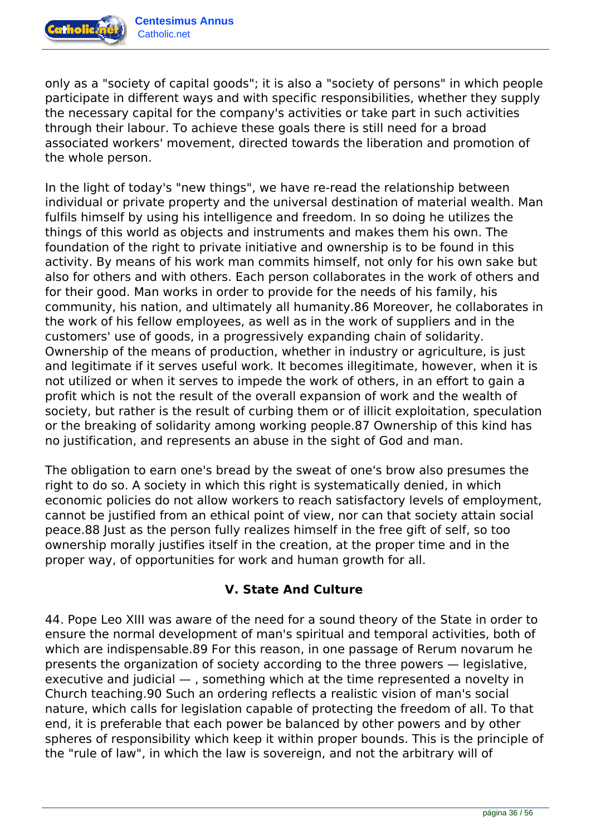

only as a "society of capital goods"; it is also a "society of persons" in which people participate in different ways and with specific responsibilities, whether they supply the necessary capital for the company's activities or take part in such activities through their labour. To achieve these goals there is still need for a broad associated workers' movement, directed towards the liberation and promotion of the whole person.

In the light of today's "new things", we have re-read the relationship between individual or private property and the universal destination of material wealth. Man fulfils himself by using his intelligence and freedom. In so doing he utilizes the things of this world as objects and instruments and makes them his own. The foundation of the right to private initiative and ownership is to be found in this activity. By means of his work man commits himself, not only for his own sake but also for others and with others. Each person collaborates in the work of others and for their good. Man works in order to provide for the needs of his family, his community, his nation, and ultimately all humanity.86 Moreover, he collaborates in the work of his fellow employees, as well as in the work of suppliers and in the customers' use of goods, in a progressively expanding chain of solidarity. Ownership of the means of production, whether in industry or agriculture, is just and legitimate if it serves useful work. It becomes illegitimate, however, when it is not utilized or when it serves to impede the work of others, in an effort to gain a profit which is not the result of the overall expansion of work and the wealth of society, but rather is the result of curbing them or of illicit exploitation, speculation or the breaking of solidarity among working people.87 Ownership of this kind has no justification, and represents an abuse in the sight of God and man.

The obligation to earn one's bread by the sweat of one's brow also presumes the right to do so. A society in which this right is systematically denied, in which economic policies do not allow workers to reach satisfactory levels of employment, cannot be justified from an ethical point of view, nor can that society attain social peace.88 Just as the person fully realizes himself in the free gift of self, so too ownership morally justifies itself in the creation, at the proper time and in the proper way, of opportunities for work and human growth for all.

# **V. State And Culture**

44. Pope Leo XIII was aware of the need for a sound theory of the State in order to ensure the normal development of man's spiritual and temporal activities, both of which are indispensable.89 For this reason, in one passage of Rerum novarum he presents the organization of society according to the three powers — legislative, executive and judicial — , something which at the time represented a novelty in Church teaching.90 Such an ordering reflects a realistic vision of man's social nature, which calls for legislation capable of protecting the freedom of all. To that end, it is preferable that each power be balanced by other powers and by other spheres of responsibility which keep it within proper bounds. This is the principle of the "rule of law", in which the law is sovereign, and not the arbitrary will of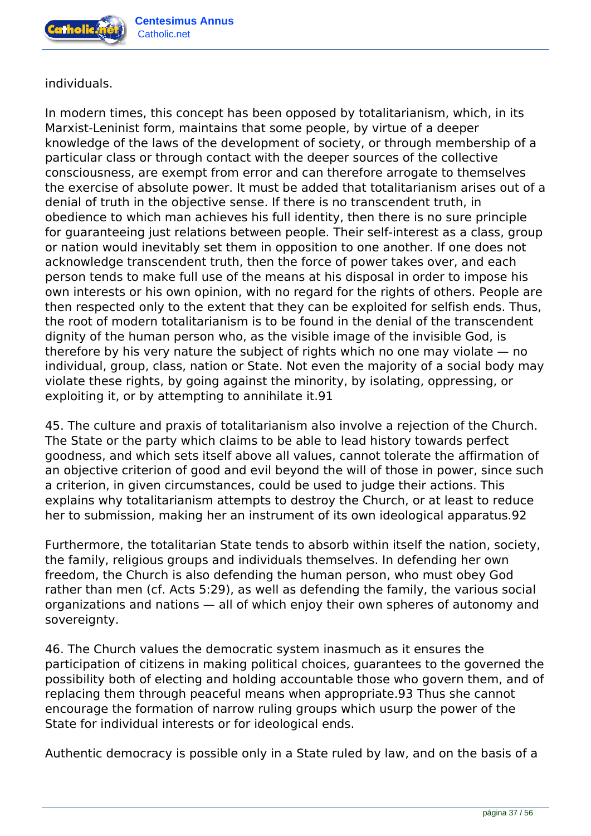

individuals.

In modern times, this concept has been opposed by totalitarianism, which, in its Marxist-Leninist form, maintains that some people, by virtue of a deeper knowledge of the laws of the development of society, or through membership of a particular class or through contact with the deeper sources of the collective consciousness, are exempt from error and can therefore arrogate to themselves the exercise of absolute power. It must be added that totalitarianism arises out of a denial of truth in the objective sense. If there is no transcendent truth, in obedience to which man achieves his full identity, then there is no sure principle for guaranteeing just relations between people. Their self-interest as a class, group or nation would inevitably set them in opposition to one another. If one does not acknowledge transcendent truth, then the force of power takes over, and each person tends to make full use of the means at his disposal in order to impose his own interests or his own opinion, with no regard for the rights of others. People are then respected only to the extent that they can be exploited for selfish ends. Thus, the root of modern totalitarianism is to be found in the denial of the transcendent dignity of the human person who, as the visible image of the invisible God, is therefore by his very nature the subject of rights which no one may violate — no individual, group, class, nation or State. Not even the majority of a social body may violate these rights, by going against the minority, by isolating, oppressing, or exploiting it, or by attempting to annihilate it.91

45. The culture and praxis of totalitarianism also involve a rejection of the Church. The State or the party which claims to be able to lead history towards perfect goodness, and which sets itself above all values, cannot tolerate the affirmation of an objective criterion of good and evil beyond the will of those in power, since such a criterion, in given circumstances, could be used to judge their actions. This explains why totalitarianism attempts to destroy the Church, or at least to reduce her to submission, making her an instrument of its own ideological apparatus.92

Furthermore, the totalitarian State tends to absorb within itself the nation, society, the family, religious groups and individuals themselves. In defending her own freedom, the Church is also defending the human person, who must obey God rather than men (cf. Acts 5:29), as well as defending the family, the various social organizations and nations — all of which enjoy their own spheres of autonomy and sovereignty.

46. The Church values the democratic system inasmuch as it ensures the participation of citizens in making political choices, guarantees to the governed the possibility both of electing and holding accountable those who govern them, and of replacing them through peaceful means when appropriate.93 Thus she cannot encourage the formation of narrow ruling groups which usurp the power of the State for individual interests or for ideological ends.

Authentic democracy is possible only in a State ruled by law, and on the basis of a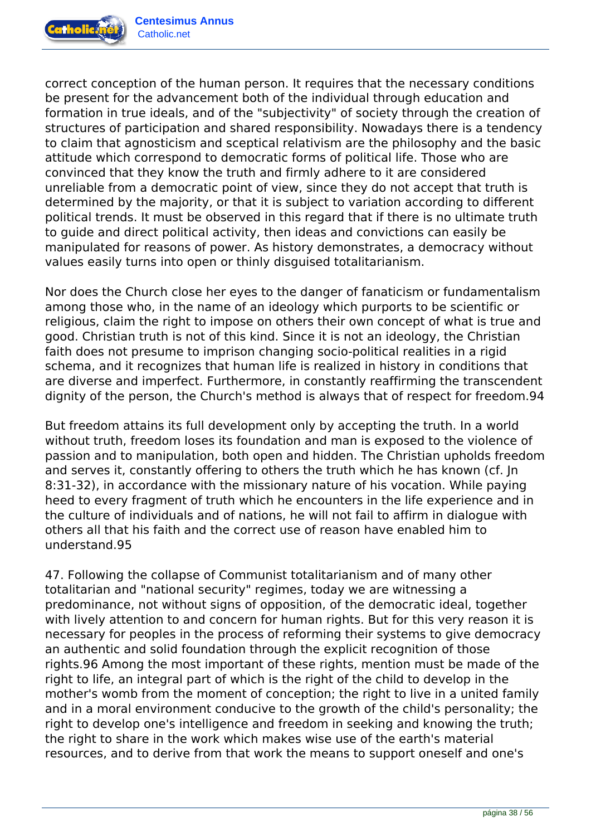

correct conception of the human person. It requires that the necessary conditions be present for the advancement both of the individual through education and formation in true ideals, and of the "subjectivity" of society through the creation of structures of participation and shared responsibility. Nowadays there is a tendency to claim that agnosticism and sceptical relativism are the philosophy and the basic attitude which correspond to democratic forms of political life. Those who are convinced that they know the truth and firmly adhere to it are considered unreliable from a democratic point of view, since they do not accept that truth is determined by the majority, or that it is subject to variation according to different political trends. It must be observed in this regard that if there is no ultimate truth to guide and direct political activity, then ideas and convictions can easily be manipulated for reasons of power. As history demonstrates, a democracy without values easily turns into open or thinly disguised totalitarianism.

Nor does the Church close her eyes to the danger of fanaticism or fundamentalism among those who, in the name of an ideology which purports to be scientific or religious, claim the right to impose on others their own concept of what is true and good. Christian truth is not of this kind. Since it is not an ideology, the Christian faith does not presume to imprison changing socio-political realities in a rigid schema, and it recognizes that human life is realized in history in conditions that are diverse and imperfect. Furthermore, in constantly reaffirming the transcendent dignity of the person, the Church's method is always that of respect for freedom.94

But freedom attains its full development only by accepting the truth. In a world without truth, freedom loses its foundation and man is exposed to the violence of passion and to manipulation, both open and hidden. The Christian upholds freedom and serves it, constantly offering to others the truth which he has known (cf. Jn 8:31-32), in accordance with the missionary nature of his vocation. While paying heed to every fragment of truth which he encounters in the life experience and in the culture of individuals and of nations, he will not fail to affirm in dialogue with others all that his faith and the correct use of reason have enabled him to understand.95

47. Following the collapse of Communist totalitarianism and of many other totalitarian and "national security" regimes, today we are witnessing a predominance, not without signs of opposition, of the democratic ideal, together with lively attention to and concern for human rights. But for this very reason it is necessary for peoples in the process of reforming their systems to give democracy an authentic and solid foundation through the explicit recognition of those rights.96 Among the most important of these rights, mention must be made of the right to life, an integral part of which is the right of the child to develop in the mother's womb from the moment of conception; the right to live in a united family and in a moral environment conducive to the growth of the child's personality; the right to develop one's intelligence and freedom in seeking and knowing the truth; the right to share in the work which makes wise use of the earth's material resources, and to derive from that work the means to support oneself and one's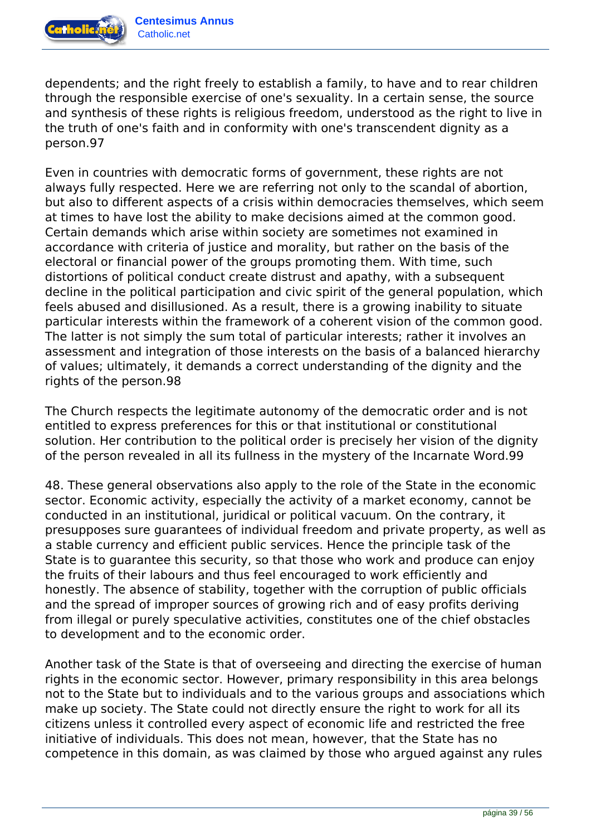

dependents; and the right freely to establish a family, to have and to rear children through the responsible exercise of one's sexuality. In a certain sense, the source and synthesis of these rights is religious freedom, understood as the right to live in the truth of one's faith and in conformity with one's transcendent dignity as a person.97

Even in countries with democratic forms of government, these rights are not always fully respected. Here we are referring not only to the scandal of abortion, but also to different aspects of a crisis within democracies themselves, which seem at times to have lost the ability to make decisions aimed at the common good. Certain demands which arise within society are sometimes not examined in accordance with criteria of justice and morality, but rather on the basis of the electoral or financial power of the groups promoting them. With time, such distortions of political conduct create distrust and apathy, with a subsequent decline in the political participation and civic spirit of the general population, which feels abused and disillusioned. As a result, there is a growing inability to situate particular interests within the framework of a coherent vision of the common good. The latter is not simply the sum total of particular interests; rather it involves an assessment and integration of those interests on the basis of a balanced hierarchy of values; ultimately, it demands a correct understanding of the dignity and the rights of the person.98

The Church respects the legitimate autonomy of the democratic order and is not entitled to express preferences for this or that institutional or constitutional solution. Her contribution to the political order is precisely her vision of the dignity of the person revealed in all its fullness in the mystery of the Incarnate Word.99

48. These general observations also apply to the role of the State in the economic sector. Economic activity, especially the activity of a market economy, cannot be conducted in an institutional, juridical or political vacuum. On the contrary, it presupposes sure guarantees of individual freedom and private property, as well as a stable currency and efficient public services. Hence the principle task of the State is to guarantee this security, so that those who work and produce can enjoy the fruits of their labours and thus feel encouraged to work efficiently and honestly. The absence of stability, together with the corruption of public officials and the spread of improper sources of growing rich and of easy profits deriving from illegal or purely speculative activities, constitutes one of the chief obstacles to development and to the economic order.

Another task of the State is that of overseeing and directing the exercise of human rights in the economic sector. However, primary responsibility in this area belongs not to the State but to individuals and to the various groups and associations which make up society. The State could not directly ensure the right to work for all its citizens unless it controlled every aspect of economic life and restricted the free initiative of individuals. This does not mean, however, that the State has no competence in this domain, as was claimed by those who argued against any rules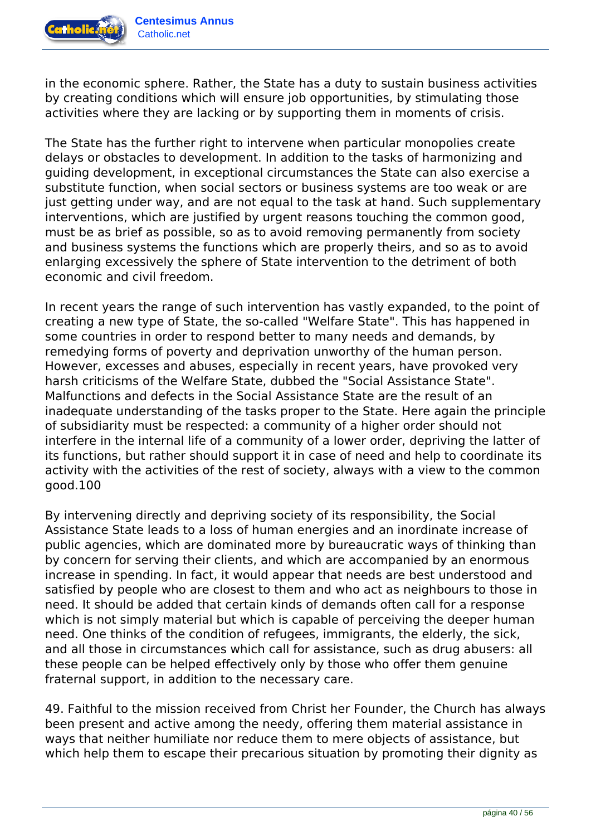

in the economic sphere. Rather, the State has a duty to sustain business activities by creating conditions which will ensure job opportunities, by stimulating those activities where they are lacking or by supporting them in moments of crisis.

The State has the further right to intervene when particular monopolies create delays or obstacles to development. In addition to the tasks of harmonizing and guiding development, in exceptional circumstances the State can also exercise a substitute function, when social sectors or business systems are too weak or are just getting under way, and are not equal to the task at hand. Such supplementary interventions, which are justified by urgent reasons touching the common good, must be as brief as possible, so as to avoid removing permanently from society and business systems the functions which are properly theirs, and so as to avoid enlarging excessively the sphere of State intervention to the detriment of both economic and civil freedom.

In recent years the range of such intervention has vastly expanded, to the point of creating a new type of State, the so-called "Welfare State". This has happened in some countries in order to respond better to many needs and demands, by remedying forms of poverty and deprivation unworthy of the human person. However, excesses and abuses, especially in recent years, have provoked very harsh criticisms of the Welfare State, dubbed the "Social Assistance State". Malfunctions and defects in the Social Assistance State are the result of an inadequate understanding of the tasks proper to the State. Here again the principle of subsidiarity must be respected: a community of a higher order should not interfere in the internal life of a community of a lower order, depriving the latter of its functions, but rather should support it in case of need and help to coordinate its activity with the activities of the rest of society, always with a view to the common good.100

By intervening directly and depriving society of its responsibility, the Social Assistance State leads to a loss of human energies and an inordinate increase of public agencies, which are dominated more by bureaucratic ways of thinking than by concern for serving their clients, and which are accompanied by an enormous increase in spending. In fact, it would appear that needs are best understood and satisfied by people who are closest to them and who act as neighbours to those in need. It should be added that certain kinds of demands often call for a response which is not simply material but which is capable of perceiving the deeper human need. One thinks of the condition of refugees, immigrants, the elderly, the sick, and all those in circumstances which call for assistance, such as drug abusers: all these people can be helped effectively only by those who offer them genuine fraternal support, in addition to the necessary care.

49. Faithful to the mission received from Christ her Founder, the Church has always been present and active among the needy, offering them material assistance in ways that neither humiliate nor reduce them to mere objects of assistance, but which help them to escape their precarious situation by promoting their dignity as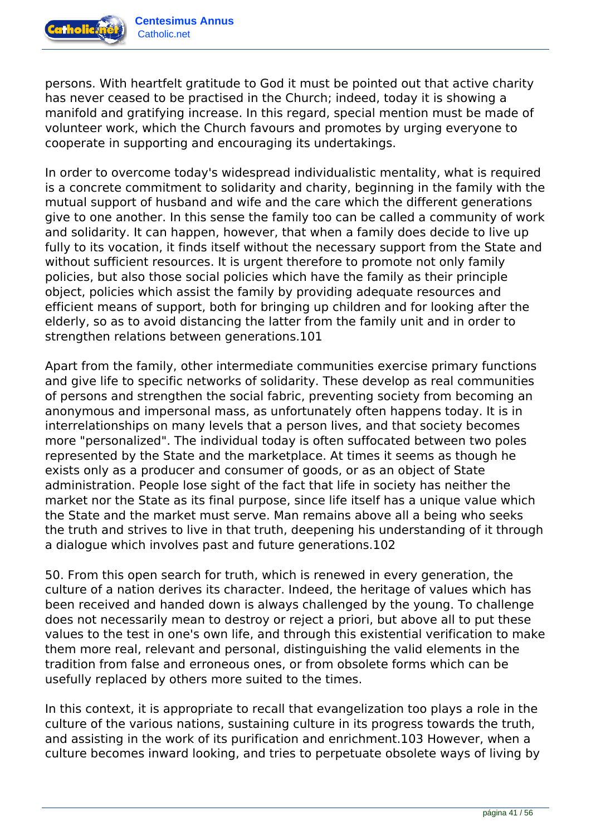

persons. With heartfelt gratitude to God it must be pointed out that active charity has never ceased to be practised in the Church; indeed, today it is showing a manifold and gratifying increase. In this regard, special mention must be made of volunteer work, which the Church favours and promotes by urging everyone to cooperate in supporting and encouraging its undertakings.

In order to overcome today's widespread individualistic mentality, what is required is a concrete commitment to solidarity and charity, beginning in the family with the mutual support of husband and wife and the care which the different generations give to one another. In this sense the family too can be called a community of work and solidarity. It can happen, however, that when a family does decide to live up fully to its vocation, it finds itself without the necessary support from the State and without sufficient resources. It is urgent therefore to promote not only family policies, but also those social policies which have the family as their principle object, policies which assist the family by providing adequate resources and efficient means of support, both for bringing up children and for looking after the elderly, so as to avoid distancing the latter from the family unit and in order to strengthen relations between generations.101

Apart from the family, other intermediate communities exercise primary functions and give life to specific networks of solidarity. These develop as real communities of persons and strengthen the social fabric, preventing society from becoming an anonymous and impersonal mass, as unfortunately often happens today. It is in interrelationships on many levels that a person lives, and that society becomes more "personalized". The individual today is often suffocated between two poles represented by the State and the marketplace. At times it seems as though he exists only as a producer and consumer of goods, or as an object of State administration. People lose sight of the fact that life in society has neither the market nor the State as its final purpose, since life itself has a unique value which the State and the market must serve. Man remains above all a being who seeks the truth and strives to live in that truth, deepening his understanding of it through a dialogue which involves past and future generations.102

50. From this open search for truth, which is renewed in every generation, the culture of a nation derives its character. Indeed, the heritage of values which has been received and handed down is always challenged by the young. To challenge does not necessarily mean to destroy or reject a priori, but above all to put these values to the test in one's own life, and through this existential verification to make them more real, relevant and personal, distinguishing the valid elements in the tradition from false and erroneous ones, or from obsolete forms which can be usefully replaced by others more suited to the times.

In this context, it is appropriate to recall that evangelization too plays a role in the culture of the various nations, sustaining culture in its progress towards the truth, and assisting in the work of its purification and enrichment.103 However, when a culture becomes inward looking, and tries to perpetuate obsolete ways of living by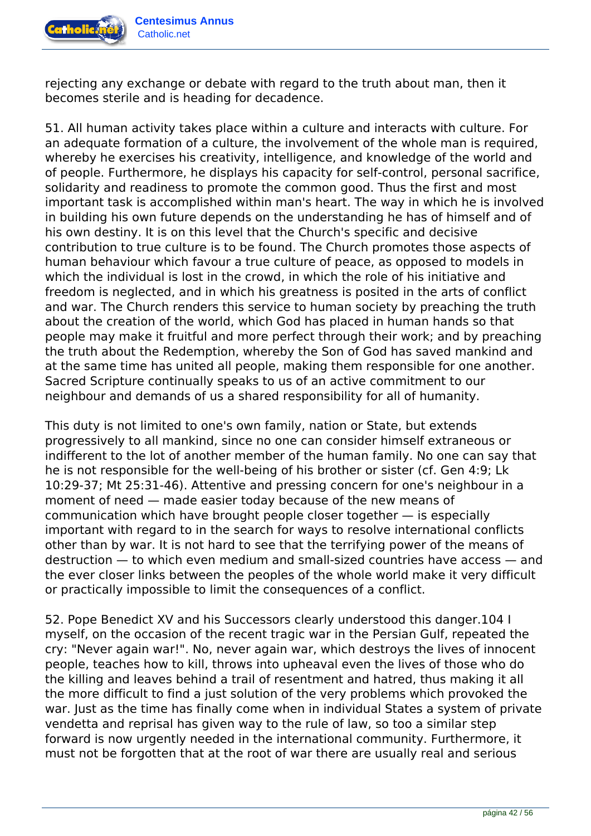

rejecting any exchange or debate with regard to the truth about man, then it becomes sterile and is heading for decadence.

51. All human activity takes place within a culture and interacts with culture. For an adequate formation of a culture, the involvement of the whole man is required, whereby he exercises his creativity, intelligence, and knowledge of the world and of people. Furthermore, he displays his capacity for self-control, personal sacrifice, solidarity and readiness to promote the common good. Thus the first and most important task is accomplished within man's heart. The way in which he is involved in building his own future depends on the understanding he has of himself and of his own destiny. It is on this level that the Church's specific and decisive contribution to true culture is to be found. The Church promotes those aspects of human behaviour which favour a true culture of peace, as opposed to models in which the individual is lost in the crowd, in which the role of his initiative and freedom is neglected, and in which his greatness is posited in the arts of conflict and war. The Church renders this service to human society by preaching the truth about the creation of the world, which God has placed in human hands so that people may make it fruitful and more perfect through their work; and by preaching the truth about the Redemption, whereby the Son of God has saved mankind and at the same time has united all people, making them responsible for one another. Sacred Scripture continually speaks to us of an active commitment to our neighbour and demands of us a shared responsibility for all of humanity.

This duty is not limited to one's own family, nation or State, but extends progressively to all mankind, since no one can consider himself extraneous or indifferent to the lot of another member of the human family. No one can say that he is not responsible for the well-being of his brother or sister (cf. Gen 4:9; Lk 10:29-37; Mt 25:31-46). Attentive and pressing concern for one's neighbour in a moment of need — made easier today because of the new means of communication which have brought people closer together — is especially important with regard to in the search for ways to resolve international conflicts other than by war. It is not hard to see that the terrifying power of the means of destruction — to which even medium and small-sized countries have access — and the ever closer links between the peoples of the whole world make it very difficult or practically impossible to limit the consequences of a conflict.

52. Pope Benedict XV and his Successors clearly understood this danger.104 I myself, on the occasion of the recent tragic war in the Persian Gulf, repeated the cry: "Never again war!". No, never again war, which destroys the lives of innocent people, teaches how to kill, throws into upheaval even the lives of those who do the killing and leaves behind a trail of resentment and hatred, thus making it all the more difficult to find a just solution of the very problems which provoked the war. Just as the time has finally come when in individual States a system of private vendetta and reprisal has given way to the rule of law, so too a similar step forward is now urgently needed in the international community. Furthermore, it must not be forgotten that at the root of war there are usually real and serious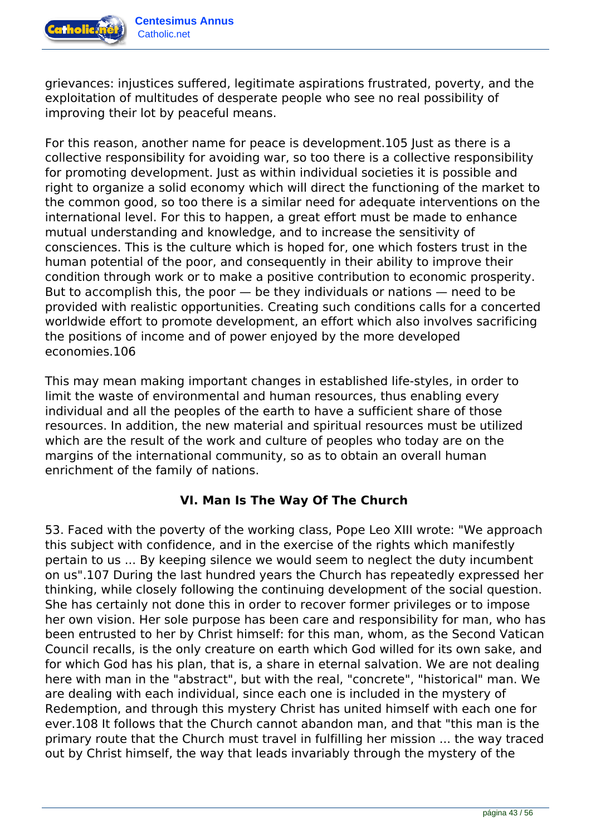

grievances: injustices suffered, legitimate aspirations frustrated, poverty, and the exploitation of multitudes of desperate people who see no real possibility of improving their lot by peaceful means.

For this reason, another name for peace is development.105 Just as there is a collective responsibility for avoiding war, so too there is a collective responsibility for promoting development. Just as within individual societies it is possible and right to organize a solid economy which will direct the functioning of the market to the common good, so too there is a similar need for adequate interventions on the international level. For this to happen, a great effort must be made to enhance mutual understanding and knowledge, and to increase the sensitivity of consciences. This is the culture which is hoped for, one which fosters trust in the human potential of the poor, and consequently in their ability to improve their condition through work or to make a positive contribution to economic prosperity. But to accomplish this, the poor — be they individuals or nations — need to be provided with realistic opportunities. Creating such conditions calls for a concerted worldwide effort to promote development, an effort which also involves sacrificing the positions of income and of power enjoyed by the more developed economies.106

This may mean making important changes in established life-styles, in order to limit the waste of environmental and human resources, thus enabling every individual and all the peoples of the earth to have a sufficient share of those resources. In addition, the new material and spiritual resources must be utilized which are the result of the work and culture of peoples who today are on the margins of the international community, so as to obtain an overall human enrichment of the family of nations.

### **VI. Man Is The Way Of The Church**

53. Faced with the poverty of the working class, Pope Leo XIII wrote: "We approach this subject with confidence, and in the exercise of the rights which manifestly pertain to us ... By keeping silence we would seem to neglect the duty incumbent on us".107 During the last hundred years the Church has repeatedly expressed her thinking, while closely following the continuing development of the social question. She has certainly not done this in order to recover former privileges or to impose her own vision. Her sole purpose has been care and responsibility for man, who has been entrusted to her by Christ himself: for this man, whom, as the Second Vatican Council recalls, is the only creature on earth which God willed for its own sake, and for which God has his plan, that is, a share in eternal salvation. We are not dealing here with man in the "abstract", but with the real, "concrete", "historical" man. We are dealing with each individual, since each one is included in the mystery of Redemption, and through this mystery Christ has united himself with each one for ever.108 It follows that the Church cannot abandon man, and that "this man is the primary route that the Church must travel in fulfilling her mission ... the way traced out by Christ himself, the way that leads invariably through the mystery of the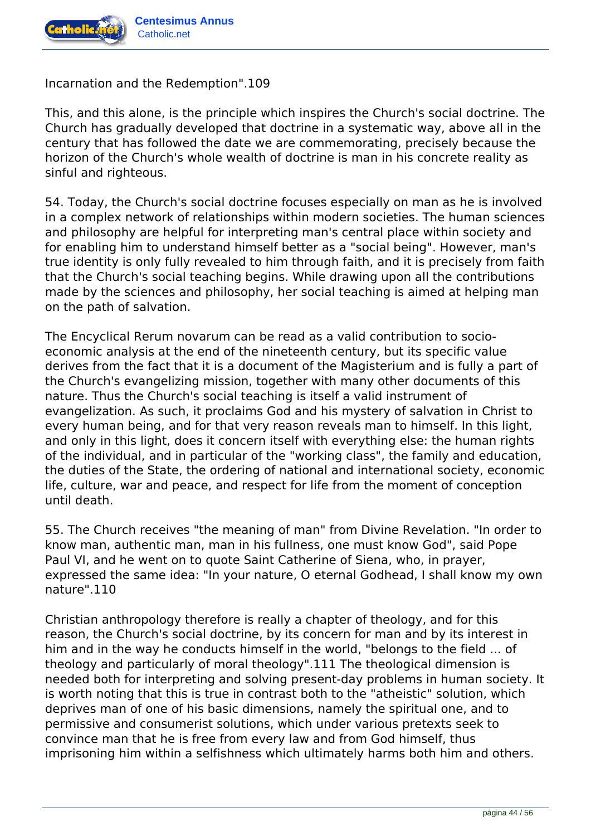

Incarnation and the Redemption".109

This, and this alone, is the principle which inspires the Church's social doctrine. The Church has gradually developed that doctrine in a systematic way, above all in the century that has followed the date we are commemorating, precisely because the horizon of the Church's whole wealth of doctrine is man in his concrete reality as sinful and righteous.

54. Today, the Church's social doctrine focuses especially on man as he is involved in a complex network of relationships within modern societies. The human sciences and philosophy are helpful for interpreting man's central place within society and for enabling him to understand himself better as a "social being". However, man's true identity is only fully revealed to him through faith, and it is precisely from faith that the Church's social teaching begins. While drawing upon all the contributions made by the sciences and philosophy, her social teaching is aimed at helping man on the path of salvation.

The Encyclical Rerum novarum can be read as a valid contribution to socioeconomic analysis at the end of the nineteenth century, but its specific value derives from the fact that it is a document of the Magisterium and is fully a part of the Church's evangelizing mission, together with many other documents of this nature. Thus the Church's social teaching is itself a valid instrument of evangelization. As such, it proclaims God and his mystery of salvation in Christ to every human being, and for that very reason reveals man to himself. In this light, and only in this light, does it concern itself with everything else: the human rights of the individual, and in particular of the "working class", the family and education, the duties of the State, the ordering of national and international society, economic life, culture, war and peace, and respect for life from the moment of conception until death.

55. The Church receives "the meaning of man" from Divine Revelation. "In order to know man, authentic man, man in his fullness, one must know God", said Pope Paul VI, and he went on to quote Saint Catherine of Siena, who, in prayer, expressed the same idea: "In your nature, O eternal Godhead, I shall know my own nature".110

Christian anthropology therefore is really a chapter of theology, and for this reason, the Church's social doctrine, by its concern for man and by its interest in him and in the way he conducts himself in the world, "belongs to the field ... of theology and particularly of moral theology".111 The theological dimension is needed both for interpreting and solving present-day problems in human society. It is worth noting that this is true in contrast both to the "atheistic" solution, which deprives man of one of his basic dimensions, namely the spiritual one, and to permissive and consumerist solutions, which under various pretexts seek to convince man that he is free from every law and from God himself, thus imprisoning him within a selfishness which ultimately harms both him and others.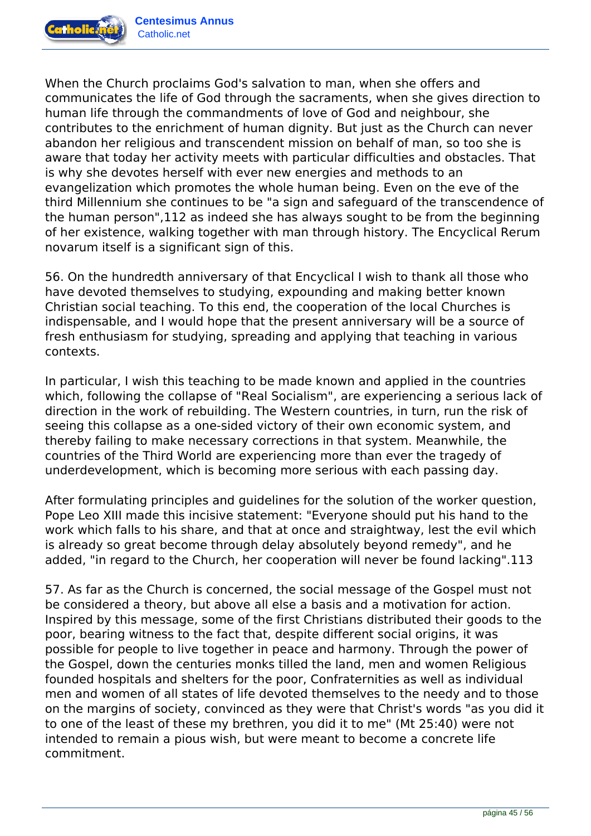

When the Church proclaims God's salvation to man, when she offers and communicates the life of God through the sacraments, when she gives direction to human life through the commandments of love of God and neighbour, she contributes to the enrichment of human dignity. But just as the Church can never abandon her religious and transcendent mission on behalf of man, so too she is aware that today her activity meets with particular difficulties and obstacles. That is why she devotes herself with ever new energies and methods to an evangelization which promotes the whole human being. Even on the eve of the third Millennium she continues to be "a sign and safeguard of the transcendence of the human person",112 as indeed she has always sought to be from the beginning of her existence, walking together with man through history. The Encyclical Rerum novarum itself is a significant sign of this.

56. On the hundredth anniversary of that Encyclical I wish to thank all those who have devoted themselves to studying, expounding and making better known Christian social teaching. To this end, the cooperation of the local Churches is indispensable, and I would hope that the present anniversary will be a source of fresh enthusiasm for studying, spreading and applying that teaching in various contexts.

In particular, I wish this teaching to be made known and applied in the countries which, following the collapse of "Real Socialism", are experiencing a serious lack of direction in the work of rebuilding. The Western countries, in turn, run the risk of seeing this collapse as a one-sided victory of their own economic system, and thereby failing to make necessary corrections in that system. Meanwhile, the countries of the Third World are experiencing more than ever the tragedy of underdevelopment, which is becoming more serious with each passing day.

After formulating principles and guidelines for the solution of the worker question, Pope Leo XIII made this incisive statement: "Everyone should put his hand to the work which falls to his share, and that at once and straightway, lest the evil which is already so great become through delay absolutely beyond remedy", and he added, "in regard to the Church, her cooperation will never be found lacking".113

57. As far as the Church is concerned, the social message of the Gospel must not be considered a theory, but above all else a basis and a motivation for action. Inspired by this message, some of the first Christians distributed their goods to the poor, bearing witness to the fact that, despite different social origins, it was possible for people to live together in peace and harmony. Through the power of the Gospel, down the centuries monks tilled the land, men and women Religious founded hospitals and shelters for the poor, Confraternities as well as individual men and women of all states of life devoted themselves to the needy and to those on the margins of society, convinced as they were that Christ's words "as you did it to one of the least of these my brethren, you did it to me" (Mt 25:40) were not intended to remain a pious wish, but were meant to become a concrete life commitment.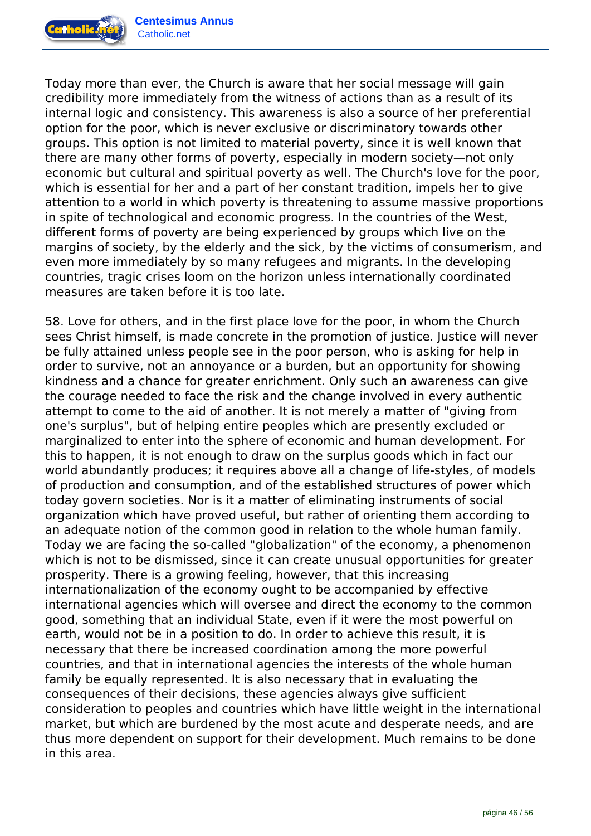

Today more than ever, the Church is aware that her social message will gain credibility more immediately from the witness of actions than as a result of its internal logic and consistency. This awareness is also a source of her preferential option for the poor, which is never exclusive or discriminatory towards other groups. This option is not limited to material poverty, since it is well known that there are many other forms of poverty, especially in modern society—not only economic but cultural and spiritual poverty as well. The Church's love for the poor, which is essential for her and a part of her constant tradition, impels her to give attention to a world in which poverty is threatening to assume massive proportions in spite of technological and economic progress. In the countries of the West, different forms of poverty are being experienced by groups which live on the margins of society, by the elderly and the sick, by the victims of consumerism, and even more immediately by so many refugees and migrants. In the developing countries, tragic crises loom on the horizon unless internationally coordinated measures are taken before it is too late.

58. Love for others, and in the first place love for the poor, in whom the Church sees Christ himself, is made concrete in the promotion of justice. Justice will never be fully attained unless people see in the poor person, who is asking for help in order to survive, not an annoyance or a burden, but an opportunity for showing kindness and a chance for greater enrichment. Only such an awareness can give the courage needed to face the risk and the change involved in every authentic attempt to come to the aid of another. It is not merely a matter of "giving from one's surplus", but of helping entire peoples which are presently excluded or marginalized to enter into the sphere of economic and human development. For this to happen, it is not enough to draw on the surplus goods which in fact our world abundantly produces; it requires above all a change of life-styles, of models of production and consumption, and of the established structures of power which today govern societies. Nor is it a matter of eliminating instruments of social organization which have proved useful, but rather of orienting them according to an adequate notion of the common good in relation to the whole human family. Today we are facing the so-called "globalization" of the economy, a phenomenon which is not to be dismissed, since it can create unusual opportunities for greater prosperity. There is a growing feeling, however, that this increasing internationalization of the economy ought to be accompanied by effective international agencies which will oversee and direct the economy to the common good, something that an individual State, even if it were the most powerful on earth, would not be in a position to do. In order to achieve this result, it is necessary that there be increased coordination among the more powerful countries, and that in international agencies the interests of the whole human family be equally represented. It is also necessary that in evaluating the consequences of their decisions, these agencies always give sufficient consideration to peoples and countries which have little weight in the international market, but which are burdened by the most acute and desperate needs, and are thus more dependent on support for their development. Much remains to be done in this area.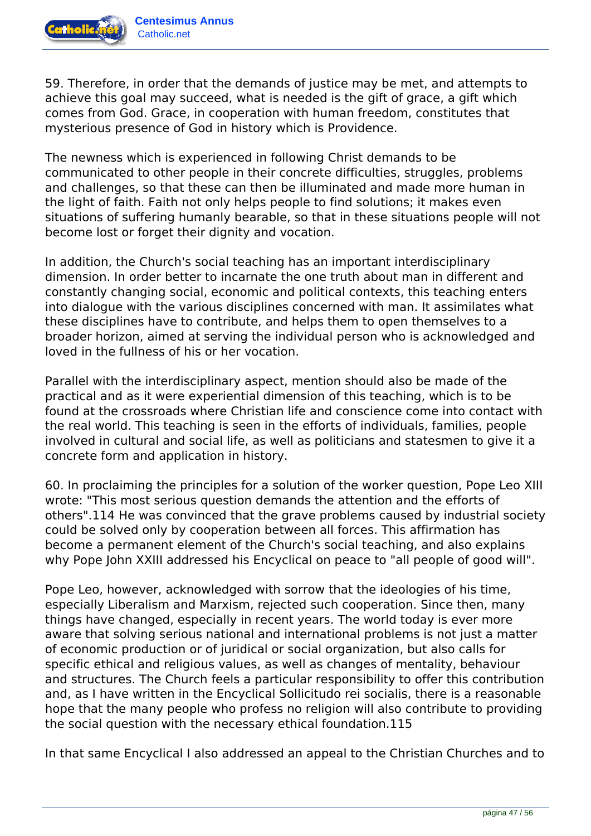

59. Therefore, in order that the demands of justice may be met, and attempts to achieve this goal may succeed, what is needed is the gift of grace, a gift which comes from God. Grace, in cooperation with human freedom, constitutes that mysterious presence of God in history which is Providence.

The newness which is experienced in following Christ demands to be communicated to other people in their concrete difficulties, struggles, problems and challenges, so that these can then be illuminated and made more human in the light of faith. Faith not only helps people to find solutions; it makes even situations of suffering humanly bearable, so that in these situations people will not become lost or forget their dignity and vocation.

In addition, the Church's social teaching has an important interdisciplinary dimension. In order better to incarnate the one truth about man in different and constantly changing social, economic and political contexts, this teaching enters into dialogue with the various disciplines concerned with man. It assimilates what these disciplines have to contribute, and helps them to open themselves to a broader horizon, aimed at serving the individual person who is acknowledged and loved in the fullness of his or her vocation.

Parallel with the interdisciplinary aspect, mention should also be made of the practical and as it were experiential dimension of this teaching, which is to be found at the crossroads where Christian life and conscience come into contact with the real world. This teaching is seen in the efforts of individuals, families, people involved in cultural and social life, as well as politicians and statesmen to give it a concrete form and application in history.

60. In proclaiming the principles for a solution of the worker question, Pope Leo XIII wrote: "This most serious question demands the attention and the efforts of others".114 He was convinced that the grave problems caused by industrial society could be solved only by cooperation between all forces. This affirmation has become a permanent element of the Church's social teaching, and also explains why Pope John XXIII addressed his Encyclical on peace to "all people of good will".

Pope Leo, however, acknowledged with sorrow that the ideologies of his time, especially Liberalism and Marxism, rejected such cooperation. Since then, many things have changed, especially in recent years. The world today is ever more aware that solving serious national and international problems is not just a matter of economic production or of juridical or social organization, but also calls for specific ethical and religious values, as well as changes of mentality, behaviour and structures. The Church feels a particular responsibility to offer this contribution and, as I have written in the Encyclical Sollicitudo rei socialis, there is a reasonable hope that the many people who profess no religion will also contribute to providing the social question with the necessary ethical foundation.115

In that same Encyclical I also addressed an appeal to the Christian Churches and to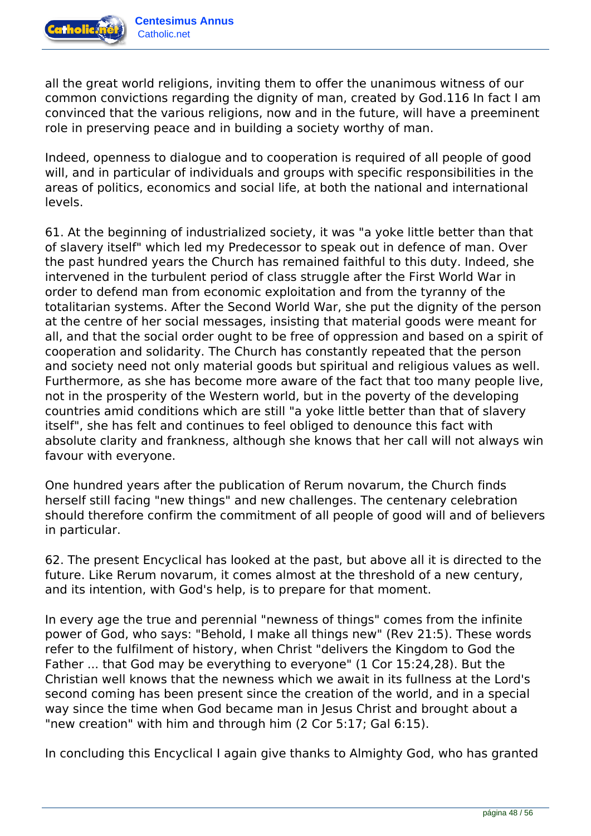

all the great world religions, inviting them to offer the unanimous witness of our common convictions regarding the dignity of man, created by God.116 In fact I am convinced that the various religions, now and in the future, will have a preeminent role in preserving peace and in building a society worthy of man.

Indeed, openness to dialogue and to cooperation is required of all people of good will, and in particular of individuals and groups with specific responsibilities in the areas of politics, economics and social life, at both the national and international levels.

61. At the beginning of industrialized society, it was "a yoke little better than that of slavery itself" which led my Predecessor to speak out in defence of man. Over the past hundred years the Church has remained faithful to this duty. Indeed, she intervened in the turbulent period of class struggle after the First World War in order to defend man from economic exploitation and from the tyranny of the totalitarian systems. After the Second World War, she put the dignity of the person at the centre of her social messages, insisting that material goods were meant for all, and that the social order ought to be free of oppression and based on a spirit of cooperation and solidarity. The Church has constantly repeated that the person and society need not only material goods but spiritual and religious values as well. Furthermore, as she has become more aware of the fact that too many people live, not in the prosperity of the Western world, but in the poverty of the developing countries amid conditions which are still "a yoke little better than that of slavery itself", she has felt and continues to feel obliged to denounce this fact with absolute clarity and frankness, although she knows that her call will not always win favour with everyone.

One hundred years after the publication of Rerum novarum, the Church finds herself still facing "new things" and new challenges. The centenary celebration should therefore confirm the commitment of all people of good will and of believers in particular.

62. The present Encyclical has looked at the past, but above all it is directed to the future. Like Rerum novarum, it comes almost at the threshold of a new century, and its intention, with God's help, is to prepare for that moment.

In every age the true and perennial "newness of things" comes from the infinite power of God, who says: "Behold, I make all things new" (Rev 21:5). These words refer to the fulfilment of history, when Christ "delivers the Kingdom to God the Father ... that God may be everything to everyone" (1 Cor 15:24,28). But the Christian well knows that the newness which we await in its fullness at the Lord's second coming has been present since the creation of the world, and in a special way since the time when God became man in Jesus Christ and brought about a "new creation" with him and through him (2 Cor 5:17; Gal 6:15).

In concluding this Encyclical I again give thanks to Almighty God, who has granted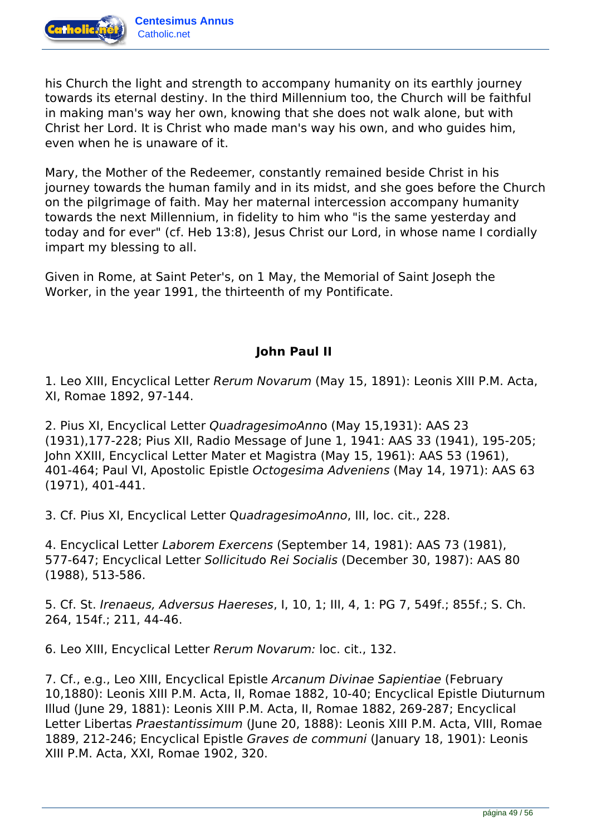

his Church the light and strength to accompany humanity on its earthly journey towards its eternal destiny. In the third Millennium too, the Church will be faithful in making man's way her own, knowing that she does not walk alone, but with Christ her Lord. It is Christ who made man's way his own, and who guides him, even when he is unaware of it.

Mary, the Mother of the Redeemer, constantly remained beside Christ in his journey towards the human family and in its midst, and she goes before the Church on the pilgrimage of faith. May her maternal intercession accompany humanity towards the next Millennium, in fidelity to him who "is the same yesterday and today and for ever" (cf. Heb 13:8), Jesus Christ our Lord, in whose name I cordially impart my blessing to all.

Given in Rome, at Saint Peter's, on 1 May, the Memorial of Saint Joseph the Worker, in the year 1991, the thirteenth of my Pontificate.

# **John Paul II**

1. Leo XIII, Encyclical Letter *Rerum Novarum* (May 15, 1891): Leonis XIII P.M. Acta, XI, Romae 1892, 97-144.

2. Pius XI, Encyclical Letter *QuadragesimoAnn*o (May 15,1931): AAS 23 (1931),177-228; Pius XII, Radio Message of June 1, 1941: AAS 33 (1941), 195-205; John XXIII, Encyclical Letter Mater et Magistra (May 15, 1961): AAS 53 (1961), 401-464; Paul VI, Apostolic Epistle *Octogesima Adveniens* (May 14, 1971): AAS 63 (1971), 401-441.

3. Cf. Pius XI, Encyclical Letter Q*uadragesimoAnno*, III, loc. cit., 228.

4. Encyclical Letter *Laborem Exercens* (September 14, 1981): AAS 73 (1981), 577-647; Encyclical Letter *Sollicitud*o *Rei Socialis* (December 30, 1987): AAS 80 (1988), 513-586.

5. Cf. St. *Irenaeus, Adversus Haereses*, I, 10, 1; III, 4, 1: PG 7, 549f.; 855f.; S. Ch. 264, 154f.; 211, 44-46.

6. Leo XIII, Encyclical Letter *Rerum Novarum:* loc. cit., 132.

7. Cf., e.g., Leo XIII, Encyclical Epistle *Arcanum Divinae Sapientiae* (February 10,1880): Leonis XIII P.M. Acta, II, Romae 1882, 10-40; Encyclical Epistle Diuturnum Illud (June 29, 1881): Leonis XIII P.M. Acta, II, Romae 1882, 269-287; Encyclical Letter Libertas *Praestantissimum* (June 20, 1888): Leonis XIII P.M. Acta, VIII, Romae 1889, 212-246; Encyclical Epistle *Graves de communi* (January 18, 1901): Leonis XIII P.M. Acta, XXI, Romae 1902, 320.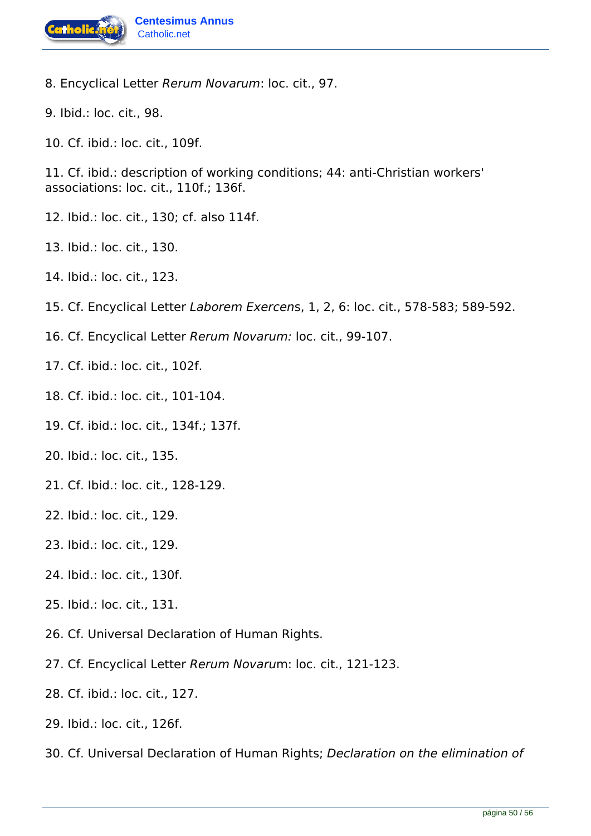

- 8. Encyclical Letter *Rerum Novarum*: loc. cit., 97.
- 9. Ibid.: loc. cit., 98.
- 10. Cf. ibid.: loc. cit., 109f.

11. Cf. ibid.: description of working conditions; 44: anti-Christian workers' associations: loc. cit., 110f.; 136f.

- 12. Ibid.: loc. cit., 130; cf. also 114f.
- 13. Ibid.: loc. cit., 130.
- 14. Ibid.: loc. cit., 123.
- 15. Cf. Encyclical Letter *Laborem Exercen*s, 1, 2, 6: loc. cit., 578-583; 589-592.
- 16. Cf. Encyclical Letter *Rerum Novarum:* loc. cit., 99-107.
- 17. Cf. ibid.: loc. cit., 102f.
- 18. Cf. ibid.: loc. cit., 101-104.
- 19. Cf. ibid.: loc. cit., 134f.; 137f.
- 20. Ibid.: loc. cit., 135.
- 21. Cf. Ibid.: loc. cit., 128-129.
- 22. Ibid.: loc. cit., 129.
- 23. Ibid.: loc. cit., 129.
- 24. Ibid.: loc. cit., 130f.
- 25. Ibid.: loc. cit., 131.
- 26. Cf. Universal Declaration of Human Rights.
- 27. Cf. Encyclical Letter *Rerum Novaru*m: loc. cit., 121-123.
- 28. Cf. ibid.: loc. cit., 127.
- 29. Ibid.: loc. cit., 126f.
- 30. Cf. Universal Declaration of Human Rights; *Declaration on the elimination of*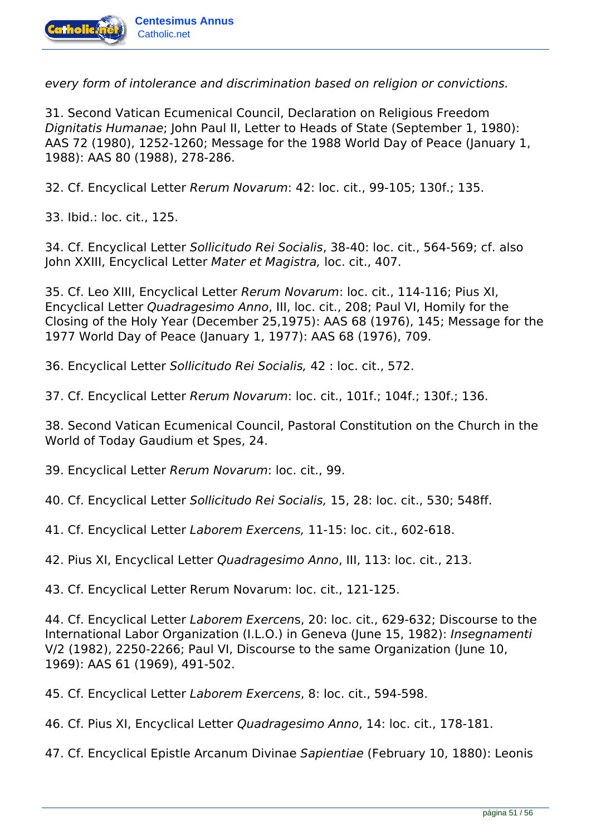

*every form of intolerance and discrimination based on religion or convictions.*

31. Second Vatican Ecumenical Council, Declaration on Religious Freedom *Dignitatis Humanae*; John Paul II, Letter to Heads of State (September 1, 1980): AAS 72 (1980), 1252-1260; Message for the 1988 World Day of Peace (January 1, 1988): AAS 80 (1988), 278-286.

32. Cf. Encyclical Letter *Rerum Novarum*: 42: loc. cit., 99-105; 130f.; 135.

33. Ibid.: loc. cit., 125.

34. Cf. Encyclical Letter *Sollicitudo Rei Socialis*, 38-40: loc. cit., 564-569; cf. also John XXIII, Encyclical Letter *Mater et Magistra,* loc. cit., 407.

35. Cf. Leo XIII, Encyclical Letter *Rerum Novarum*: loc. cit., 114-116; Pius XI, Encyclical Letter *Quadragesimo Anno*, III, loc. cit., 208; Paul VI, Homily for the Closing of the Holy Year (December 25,1975): AAS 68 (1976), 145; Message for the 1977 World Day of Peace (January 1, 1977): AAS 68 (1976), 709.

36. Encyclical Letter *Sollicitudo Rei Socialis,* 42 : loc. cit., 572.

37. Cf. Encyclical Letter *Rerum Novarum*: loc. cit., 101f.; 104f.; 130f.; 136.

38. Second Vatican Ecumenical Council, Pastoral Constitution on the Church in the World of Today Gaudium et Spes, 24.

39. Encyclical Letter *Rerum Novarum*: loc. cit., 99.

40. Cf. Encyclical Letter *Sollicitudo Rei Socialis,* 15, 28: loc. cit., 530; 548ff.

41. Cf. Encyclical Letter *Laborem Exercens,* 11-15: loc. cit., 602-618.

42. Pius XI, Encyclical Letter *Quadragesimo Anno*, III, 113: loc. cit., 213.

43. Cf. Encyclical Letter Rerum Novarum: loc. cit., 121-125.

44. Cf. Encyclical Letter *Laborem Exercen*s, 20: loc. cit., 629-632; Discourse to the International Labor Organization (I.L.O.) in Geneva (June 15, 1982): *Insegnamenti* V/2 (1982), 2250-2266; Paul VI, Discourse to the same Organization (June 10, 1969): AAS 61 (1969), 491-502.

45. Cf. Encyclical Letter *Laborem Exercens*, 8: loc. cit., 594-598.

46. Cf. Pius XI, Encyclical Letter *Quadragesimo Anno*, 14: loc. cit., 178-181.

47. Cf. Encyclical Epistle Arcanum Divinae *Sapientiae* (February 10, 1880): Leonis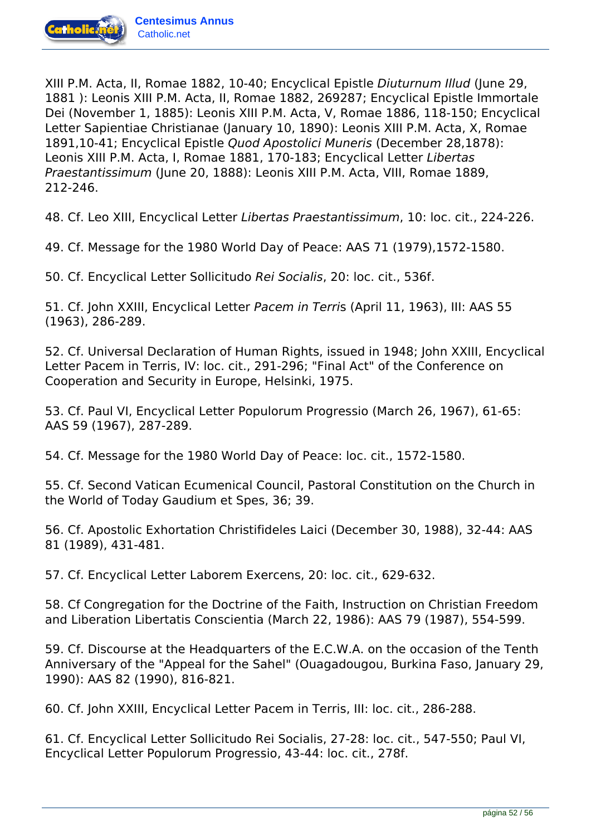

XIII P.M. Acta, II, Romae 1882, 10-40; Encyclical Epistle *Diuturnum Illud* (June 29, 1881 ): Leonis XIII P.M. Acta, II, Romae 1882, 269287; Encyclical Epistle Immortale Dei (November 1, 1885): Leonis XIII P.M. Acta, V, Romae 1886, 118-150; Encyclical Letter Sapientiae Christianae (January 10, 1890): Leonis XIII P.M. Acta, X, Romae 1891,10-41; Encyclical Epistle *Quod Apostolici Muneris* (December 28,1878): Leonis XIII P.M. Acta, I, Romae 1881, 170-183; Encyclical Letter *Libertas Praestantissimum* (June 20, 1888): Leonis XIII P.M. Acta, VIII, Romae 1889, 212-246.

48. Cf. Leo XIII, Encyclical Letter *Libertas Praestantissimum*, 10: loc. cit., 224-226.

49. Cf. Message for the 1980 World Day of Peace: AAS 71 (1979),1572-1580.

50. Cf. Encyclical Letter Sollicitudo *Rei Socialis*, 20: loc. cit., 536f.

51. Cf. John XXIII, Encyclical Letter *Pacem in Terri*s (April 11, 1963), III: AAS 55 (1963), 286-289.

52. Cf. Universal Declaration of Human Rights, issued in 1948; John XXIII, Encyclical Letter Pacem in Terris, IV: loc. cit., 291-296; "Final Act" of the Conference on Cooperation and Security in Europe, Helsinki, 1975.

53. Cf. Paul VI, Encyclical Letter Populorum Progressio (March 26, 1967), 61-65: AAS 59 (1967), 287-289.

54. Cf. Message for the 1980 World Day of Peace: loc. cit., 1572-1580.

55. Cf. Second Vatican Ecumenical Council, Pastoral Constitution on the Church in the World of Today Gaudium et Spes, 36; 39.

56. Cf. Apostolic Exhortation Christifideles Laici (December 30, 1988), 32-44: AAS 81 (1989), 431-481.

57. Cf. Encyclical Letter Laborem Exercens, 20: loc. cit., 629-632.

58. Cf Congregation for the Doctrine of the Faith, Instruction on Christian Freedom and Liberation Libertatis Conscientia (March 22, 1986): AAS 79 (1987), 554-599.

59. Cf. Discourse at the Headquarters of the E.C.W.A. on the occasion of the Tenth Anniversary of the "Appeal for the Sahel" (Ouagadougou, Burkina Faso, January 29, 1990): AAS 82 (1990), 816-821.

60. Cf. John XXIII, Encyclical Letter Pacem in Terris, III: loc. cit., 286-288.

61. Cf. Encyclical Letter Sollicitudo Rei Socialis, 27-28: loc. cit., 547-550; Paul VI, Encyclical Letter Populorum Progressio, 43-44: loc. cit., 278f.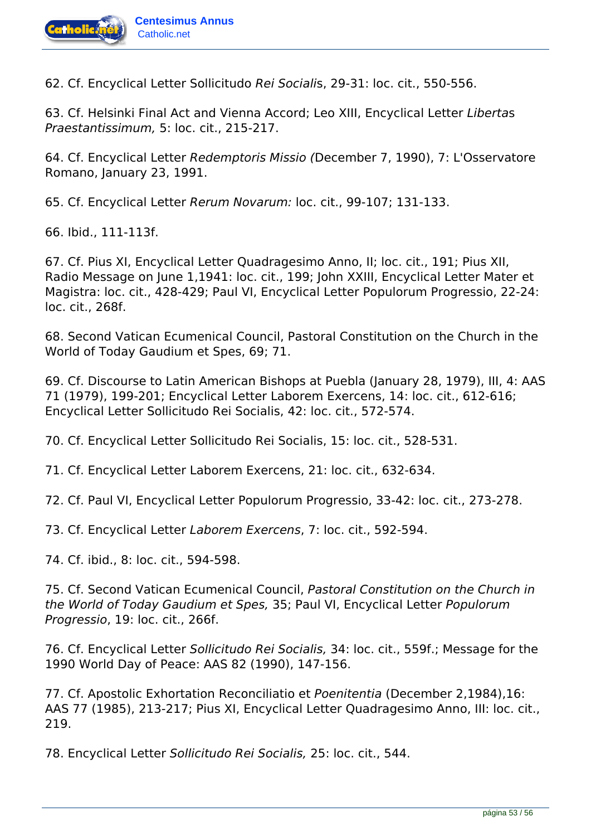

62. Cf. Encyclical Letter Sollicitudo *Rei Sociali*s, 29-31: loc. cit., 550-556.

63. Cf. Helsinki Final Act and Vienna Accord; Leo XIII, Encyclical Letter *Liberta*s *Praestantissimum,* 5: loc. cit., 215-217.

64. Cf. Encyclical Letter *Redemptoris Missio (*December 7, 1990), 7: L'Osservatore Romano, January 23, 1991.

65. Cf. Encyclical Letter *Rerum Novarum:* loc. cit., 99-107; 131-133.

66. Ibid., 111-113f.

67. Cf. Pius XI, Encyclical Letter Quadragesimo Anno, II; loc. cit., 191; Pius XII, Radio Message on June 1,1941: loc. cit., 199; John XXIII, Encyclical Letter Mater et Magistra: loc. cit., 428-429; Paul VI, Encyclical Letter Populorum Progressio, 22-24: loc. cit., 268f.

68. Second Vatican Ecumenical Council, Pastoral Constitution on the Church in the World of Today Gaudium et Spes, 69; 71.

69. Cf. Discourse to Latin American Bishops at Puebla (January 28, 1979), III, 4: AAS 71 (1979), 199-201; Encyclical Letter Laborem Exercens, 14: loc. cit., 612-616; Encyclical Letter Sollicitudo Rei Socialis, 42: loc. cit., 572-574.

70. Cf. Encyclical Letter Sollicitudo Rei Socialis, 15: loc. cit., 528-531.

71. Cf. Encyclical Letter Laborem Exercens, 21: loc. cit., 632-634.

72. Cf. Paul VI, Encyclical Letter Populorum Progressio, 33-42: loc. cit., 273-278.

73. Cf. Encyclical Letter *Laborem Exercens*, 7: loc. cit., 592-594.

74. Cf. ibid., 8: loc. cit., 594-598.

75. Cf. Second Vatican Ecumenical Council, *Pastoral Constitution on the Church in the World of Today Gaudium et Spes,* 35; Paul VI, Encyclical Letter *Populorum Progressio*, 19: loc. cit., 266f.

76. Cf. Encyclical Letter *Sollicitudo Rei Socialis,* 34: loc. cit., 559f.; Message for the 1990 World Day of Peace: AAS 82 (1990), 147-156.

77. Cf. Apostolic Exhortation Reconciliatio et *Poenitentia* (December 2,1984),16: AAS 77 (1985), 213-217; Pius XI, Encyclical Letter Quadragesimo Anno, III: loc. cit., 219.

78. Encyclical Letter *Sollicitudo Rei Socialis,* 25: loc. cit., 544.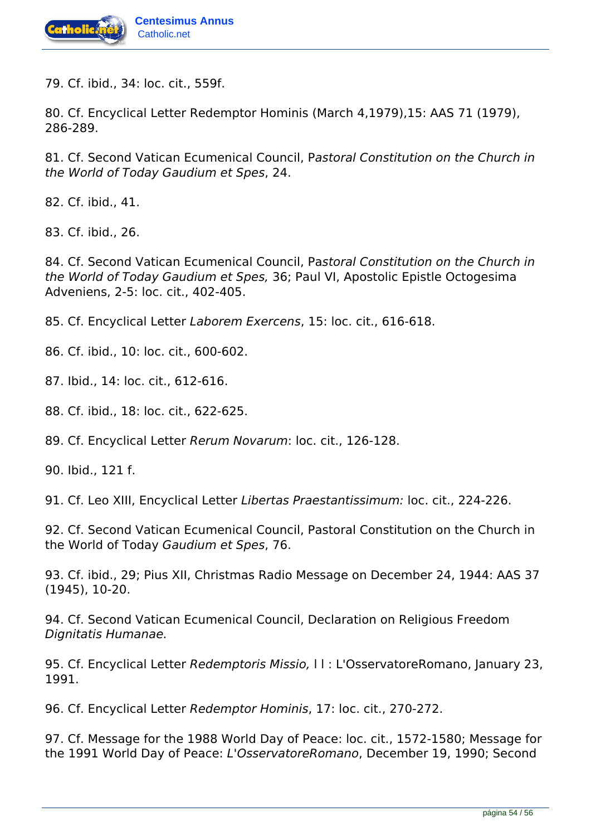

79. Cf. ibid., 34: loc. cit., 559f.

80. Cf. Encyclical Letter Redemptor Hominis (March 4,1979),15: AAS 71 (1979), 286-289.

81. Cf. Second Vatican Ecumenical Council, P*astoral Constitution on the Church in the World of Today Gaudium et Spes*, 24.

82. Cf. ibid., 41.

83. Cf. ibid., 26.

84. Cf. Second Vatican Ecumenical Council, Pa*storal Constitution on the Church in the World of Today Gaudium et Spes,* 36; Paul VI, Apostolic Epistle Octogesima Adveniens, 2-5: loc. cit., 402-405.

85. Cf. Encyclical Letter *Laborem Exercens*, 15: loc. cit., 616-618.

86. Cf. ibid., 10: loc. cit., 600-602.

87. Ibid., 14: loc. cit., 612-616.

88. Cf. ibid., 18: loc. cit., 622-625.

89. Cf. Encyclical Letter *Rerum Novarum*: loc. cit., 126-128.

90. Ibid., 121 f.

91. Cf. Leo XIII, Encyclical Letter *Libertas Praestantissimum:* loc. cit., 224-226.

92. Cf. Second Vatican Ecumenical Council, Pastoral Constitution on the Church in the World of Today *Gaudium et Spes*, 76.

93. Cf. ibid., 29; Pius XII, Christmas Radio Message on December 24, 1944: AAS 37 (1945), 10-20.

94. Cf. Second Vatican Ecumenical Council, Declaration on Religious Freedom *Dignitatis Humanae.*

95. Cf. Encyclical Letter *Redemptoris Missio,* l l : L'OsservatoreRomano, January 23, 1991.

96. Cf. Encyclical Letter *Redemptor Hominis*, 17: loc. cit., 270-272.

97. Cf. Message for the 1988 World Day of Peace: loc. cit., 1572-1580; Message for the 1991 World Day of Peace: *L'OsservatoreRomano*, December 19, 1990; Second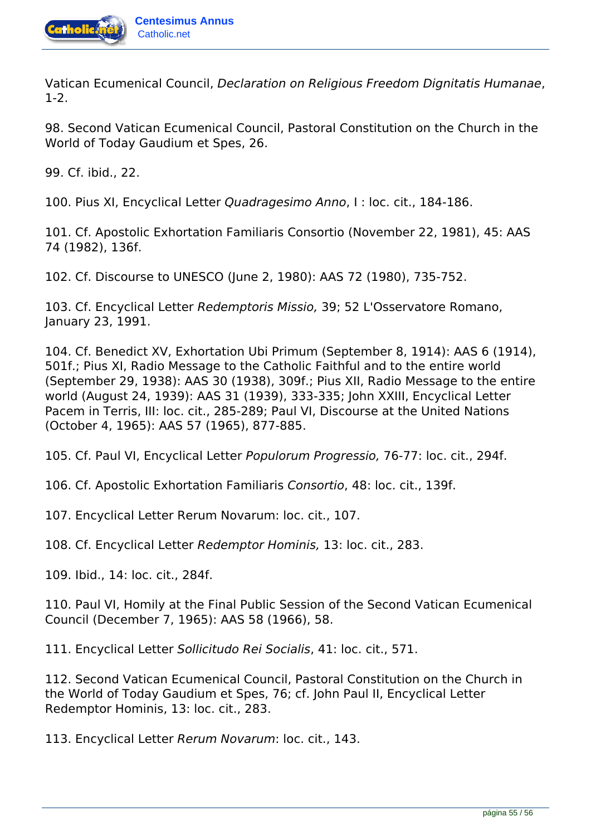

Vatican Ecumenical Council, *Declaration on Religious Freedom Dignitatis Humanae*, 1-2.

98. Second Vatican Ecumenical Council, Pastoral Constitution on the Church in the World of Today Gaudium et Spes, 26.

99. Cf. ibid., 22.

100. Pius XI, Encyclical Letter *Quadragesimo Anno*, I : loc. cit., 184-186.

101. Cf. Apostolic Exhortation Familiaris Consortio (November 22, 1981), 45: AAS 74 (1982), 136f.

102. Cf. Discourse to UNESCO (June 2, 1980): AAS 72 (1980), 735-752.

103. Cf. Encyclical Letter *Redemptoris Missio,* 39; 52 L'Osservatore Romano, January 23, 1991.

104. Cf. Benedict XV, Exhortation Ubi Primum (September 8, 1914): AAS 6 (1914), 501f.; Pius XI, Radio Message to the Catholic Faithful and to the entire world (September 29, 1938): AAS 30 (1938), 309f.; Pius XII, Radio Message to the entire world (August 24, 1939): AAS 31 (1939), 333-335; John XXIII, Encyclical Letter Pacem in Terris, III: loc. cit., 285-289; Paul VI, Discourse at the United Nations (October 4, 1965): AAS 57 (1965), 877-885.

105. Cf. Paul VI, Encyclical Letter *Populorum Progressio,* 76-77: loc. cit., 294f.

106. Cf. Apostolic Exhortation Familiaris *Consortio*, 48: loc. cit., 139f.

107. Encyclical Letter Rerum Novarum: loc. cit., 107.

108. Cf. Encyclical Letter *Redemptor Hominis,* 13: loc. cit., 283.

109. Ibid., 14: loc. cit., 284f.

110. Paul VI, Homily at the Final Public Session of the Second Vatican Ecumenical Council (December 7, 1965): AAS 58 (1966), 58.

111. Encyclical Letter *Sollicitudo Rei Socialis*, 41: loc. cit., 571.

112. Second Vatican Ecumenical Council, Pastoral Constitution on the Church in the World of Today Gaudium et Spes, 76; cf. John Paul II, Encyclical Letter Redemptor Hominis, 13: loc. cit., 283.

113. Encyclical Letter *Rerum Novarum*: loc. cit., 143.